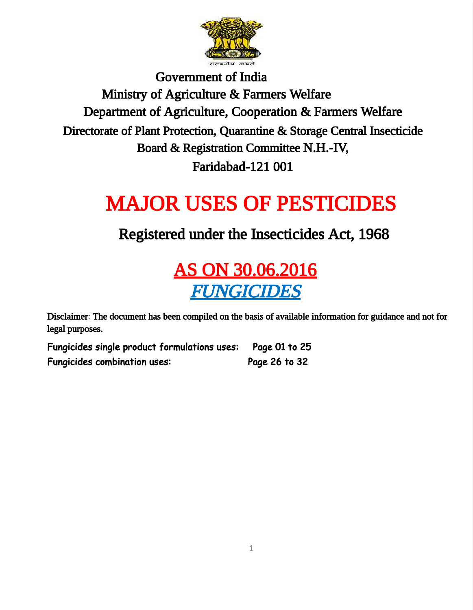

Government of India Ministry of Agriculture & Farmers Welfare Department of Agriculture, Cooperation & Farmers Welfare Directorate of Plant Protection, Quarantine & Storage Central Insecticide Board & Registration Committee N.H.-IV, Faridabad-121 001

# MAJOR USES OF PESTICIDES

#### Registered under the Insecticides Act, 1968

### AS ON 30.06.2016 FUNGICIDES

Disclaimer: The document has been compiled on the basis of available information for guidance and not for legal purposes.

Fungicides single product formulations uses: Page 01 to 25 Fungicides combination uses: Page 26 to 32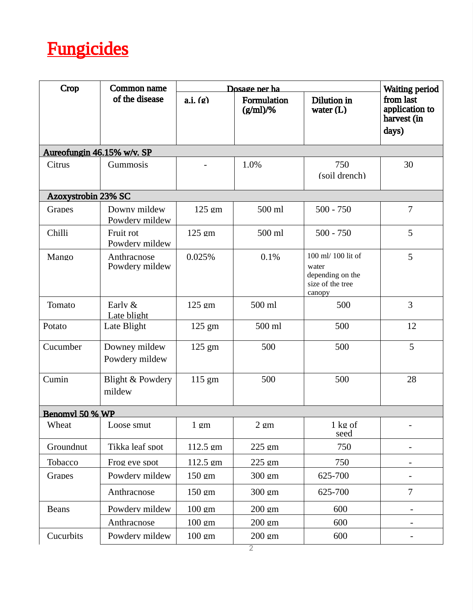## **Fungicides**

| Crop                       | Common name                           | <b>Waiting period</b> |                            |                                                                               |                                                     |
|----------------------------|---------------------------------------|-----------------------|----------------------------|-------------------------------------------------------------------------------|-----------------------------------------------------|
|                            | of the disease                        | a.i. (g)              | Formulation<br>$(g/ml)/\%$ | Dilution in<br>water $(L)$                                                    | from last<br>application to<br>harvest (in<br>days) |
| Aureofungin 46.15% w/v. SP |                                       |                       |                            |                                                                               |                                                     |
| Citrus                     | Gummosis                              |                       | 1.0%                       | 750<br>(soil drench)                                                          | 30                                                  |
| Azoxystrobin 23% SC        |                                       |                       |                            |                                                                               |                                                     |
| Grapes                     | Downy mildew<br>Powderv mildew        | 125 gm                | 500 ml                     | $500 - 750$                                                                   | 7                                                   |
| Chilli                     | Fruit rot<br>Powderv mildew           | 125 gm                | 500 ml                     | $500 - 750$                                                                   | 5                                                   |
| Mango                      | Anthracnose<br>Powdery mildew         | 0.025%                | 0.1%                       | 100 ml/ 100 lit of<br>water<br>depending on the<br>size of the tree<br>canopy | 5                                                   |
| Tomato                     | Early &<br>Late blight                | 125 gm                | 500 ml                     | 500                                                                           | 3                                                   |
| Potato                     | Late Blight                           | $125 \text{ gm}$      | 500 ml                     | 500                                                                           | 12                                                  |
| Cucumber                   | Downey mildew<br>Powdery mildew       | 125 gm                | 500                        | 500                                                                           | 5                                                   |
| Cumin                      | <b>Blight &amp; Powdery</b><br>mildew | 115 gm                | 500                        | 500                                                                           | 28                                                  |
| Benomyl 50 % WP            |                                       |                       |                            |                                                                               |                                                     |
| Wheat                      | Loose smut                            | $1 \text{ gm}$        | $2 \text{ gm}$             | 1 kg of<br>seed                                                               |                                                     |
| Groundnut                  | Tikka leaf spot                       | 112.5 gm              | $225$ gm                   | 750                                                                           | -                                                   |
| Tobacco                    | Frog eve spot                         | 112.5 gm              | 225 gm                     | 750                                                                           |                                                     |
| Grapes                     | Powdery mildew                        | $150 \text{ gm}$      | $300 \text{ gm}$           | 625-700                                                                       | -                                                   |
|                            | Anthracnose                           | $150 \text{ gm}$      | 300 gm                     | 625-700                                                                       | 7                                                   |
| <b>Beans</b>               | Powdery mildew                        | $100 \text{ cm}$      | $200 \text{ cm}$           | 600                                                                           | -                                                   |
|                            | Anthracnose                           | $100 \text{ gm}$      | $200 \text{ gm}$           | 600                                                                           | -                                                   |
| Cucurbits                  | Powdery mildew                        | $100 \text{ cm}$      | $200 \text{ gm}$           | 600                                                                           | ۰                                                   |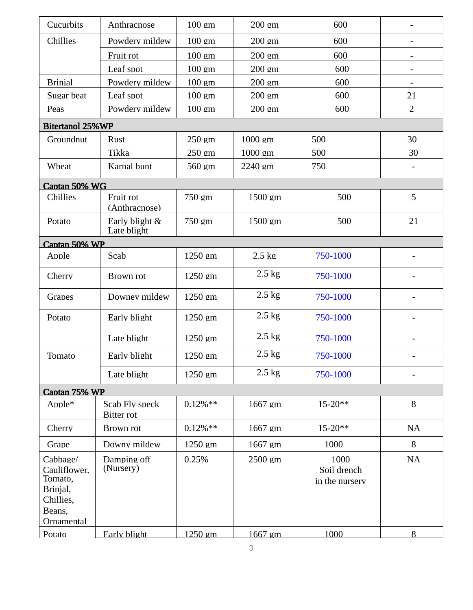| Cucurbits                                                                            | Anthracnose                         | 100 gm           | 200 gm           | 600                                   |                          |
|--------------------------------------------------------------------------------------|-------------------------------------|------------------|------------------|---------------------------------------|--------------------------|
| Chillies                                                                             | Powderv mildew                      | 100 gm           | 200 gm           | 600                                   |                          |
|                                                                                      | Fruit rot                           | 100 gm           | 200 gm           | 600                                   |                          |
|                                                                                      | Leaf spot                           | 100 gm           | 200 gm           | 600                                   |                          |
| <b>Brinial</b>                                                                       | Powdery mildew                      | $100 \text{ gm}$ | 200 gm           | 600                                   | $\overline{\phantom{a}}$ |
| Sugar beat                                                                           | Leaf spot                           | $100 \text{ gm}$ | 200 gm           | 600                                   | 21                       |
| Peas                                                                                 | Powdery mildew                      | $100 \text{ gm}$ | 200 gm           | 600                                   | $\overline{2}$           |
| <b>Bitertanol 25%WP</b>                                                              |                                     |                  |                  |                                       |                          |
| Groundnut                                                                            | Rust                                | 250 gm           | $1000$ gm        | 500                                   | 30                       |
|                                                                                      | Tikka                               | 250 gm           | 1000 gm          | 500                                   | 30                       |
| Wheat                                                                                | Karnal bunt                         | 560 gm           | 2240 gm          | 750                                   | $\overline{\phantom{a}}$ |
| Captan 50% WG                                                                        |                                     |                  |                  |                                       |                          |
| Chillies                                                                             | Fruit rot<br>(Anthracnose)          | 750 gm           | 1500 gm          | 500                                   | 5                        |
| Potato                                                                               | Early blight &<br>Late blight       | 750 gm           | 1500 gm          | 500                                   | 21                       |
| Captan 50% WP                                                                        |                                     |                  |                  |                                       |                          |
| Apple                                                                                | Scab                                | 1250 gm          | $2.5 \text{ kg}$ | 750-1000                              |                          |
| Cherry                                                                               | Brown rot                           | 1250 gm          | $2.5$ kg         | 750-1000                              | $\overline{\phantom{a}}$ |
| Grapes                                                                               | Downey mildew                       | 1250 gm          | $2.5$ kg         | 750-1000                              |                          |
| Potato                                                                               | Early blight                        | 1250 gm          | $2.5$ kg         | 750-1000                              |                          |
|                                                                                      | Late blight                         | 1250 gm          | $2.5$ kg         | 750-1000                              |                          |
| Tomato                                                                               | Early blight                        | 1250 gm          | 2.5 kg           | 750-1000                              | $\overline{\phantom{a}}$ |
|                                                                                      | Late blight                         | 1250 gm          | $2.5$ kg         | 750-1000                              | $\overline{\phantom{a}}$ |
| Captan 75% WP                                                                        |                                     |                  |                  |                                       |                          |
| Apple*                                                                               | Scab Fly speck<br><b>Bitter rot</b> | $0.12\%**$       | 1667 gm          | $15 - 20**$                           | 8                        |
| Cherry                                                                               | Brown rot                           | $0.12\%**$       | 1667 gm          | $15 - 20**$                           | <b>NA</b>                |
| Grape                                                                                | Downy mildew                        | 1250 gm          | 1667 gm          | 1000                                  | 8                        |
| Cabbage/<br>Cauliflower.<br>Tomato,<br>Brinjal,<br>Chillies,<br>Beans,<br>Ornamental | Damping off<br>(Nursery)            | 0.25%            | 2500 gm          | 1000<br>Soil drench<br>in the nurserv | <b>NA</b>                |
| Potato                                                                               | <b>Early blight</b>                 | $1250$ gm        | 1667 gm          | 1000                                  | 8                        |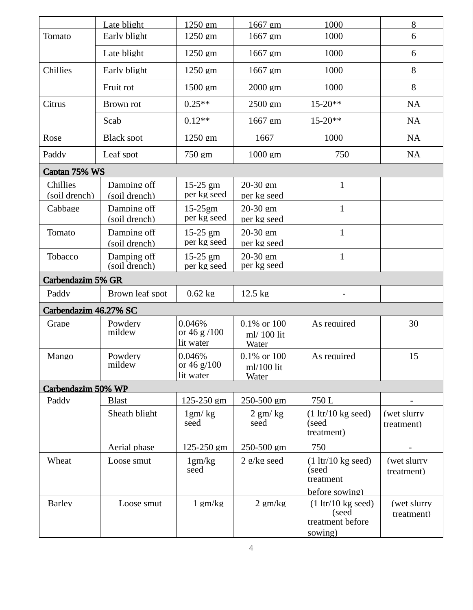|                           | Late blight                  | 1250 gm                              | 1667 gm                              | 1000                                                                         | 8                         |
|---------------------------|------------------------------|--------------------------------------|--------------------------------------|------------------------------------------------------------------------------|---------------------------|
| Tomato                    | Early blight                 | 1250 gm                              | 1667 gm                              | 1000                                                                         | 6                         |
|                           | Late blight                  | 1250 gm                              | 1667 gm                              | 1000                                                                         | 6                         |
| Chillies                  | Early blight                 | 1250 gm                              | 1667 gm                              | 1000                                                                         | 8                         |
|                           | Fruit rot                    | 1500 gm                              | 2000 gm                              | 1000                                                                         | 8                         |
| Citrus                    | Brown rot                    | $0.25**$                             | 2500 gm                              | $15 - 20**$                                                                  | <b>NA</b>                 |
|                           | Scab                         | $0.12**$                             | 1667 gm                              | $15 - 20**$                                                                  | NA                        |
| Rose                      | <b>Black spot</b>            | 1250 gm                              | 1667                                 | 1000                                                                         | <b>NA</b>                 |
| Paddv                     | Leaf spot                    | 750 gm                               | 1000 gm                              | 750                                                                          | NA                        |
| Captan 75% WS             |                              |                                      |                                      |                                                                              |                           |
| Chillies<br>(soil drench) | Damping off<br>(soil drench) | 15-25 gm<br>per kg seed              | 20-30 gm<br>per kg seed              | $\mathbf{1}$                                                                 |                           |
| Cabbage                   | Damping off<br>(soil drench) | $15-25gm$<br>per kg seed             | 20-30 gm<br>per kg seed              | $\mathbf{1}$                                                                 |                           |
| Tomato                    | Damping off<br>(soil drench) | 15-25 gm<br>per kg seed              | 20-30 gm<br>per kg seed              | $\mathbf{1}$                                                                 |                           |
| Tobacco                   | Damping off<br>(soil drench) | 15-25 gm<br>per kg seed              | 20-30 gm<br>per kg seed              | $\mathbf{1}$                                                                 |                           |
| <b>Carbendazim 5% GR</b>  |                              |                                      |                                      |                                                                              |                           |
| Paddy                     | Brown leaf spot              | $0.62$ kg                            | $12.5 \text{ kg}$                    | -                                                                            |                           |
| Carbendazim 46.27% SC     |                              |                                      |                                      |                                                                              |                           |
| Grape                     | Powderv<br>mildew            | 0.046%<br>or 46 g /100<br>lit water  | 0.1% or 100<br>ml/ 100 lit<br>Water  | As required                                                                  | 30                        |
| Mango                     | Powdery<br>mildew            | 0.046%<br>or 46 $g/100$<br>lit water | 0.1% or 100<br>$ml/100$ lit<br>Water | As required                                                                  | 15                        |
| Carbendazim 50% WP        |                              |                                      |                                      |                                                                              |                           |
| Paddy                     | <b>Blast</b>                 | 125-250 gm                           | 250-500 gm                           | 750 L                                                                        |                           |
|                           | Sheath blight                | 1gm/kg<br>seed                       | $2$ gm/ $kg$<br>seed                 | $(1 \text{ ltr}/10 \text{ kg seed})$<br>(seed<br>treatment)                  | (wet slurry<br>treatment) |
|                           | Aerial phase                 | 125-250 gm                           | 250-500 gm                           | 750                                                                          |                           |
| Wheat                     | Loose smut                   | 1gm/kg<br>seed                       | $2 \frac{g}{kg}$ seed                | $(1 \text{ ltr}/10 \text{ kg seed})$<br>(seed<br>treatment<br>before sowing) | (wet slurry<br>treatment) |
| <b>Barley</b>             | Loose smut                   | $1$ gm/kg                            | $2$ gm/ $kg$                         | $(1 \text{ ltr}/10 \text{ kg seed})$<br>(seed<br>treatment before<br>sowing) | (wet slurry<br>treatment) |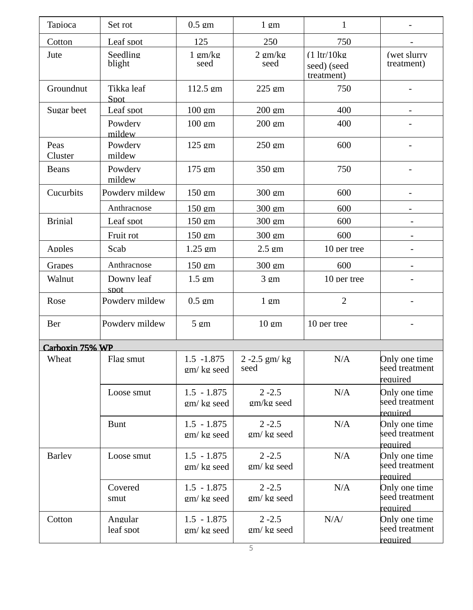| Tapioca         | Set rot              | $0.5 \text{ cm}$            | $1 \text{ cm}$          | $\mathbf{1}$                             |                                             |
|-----------------|----------------------|-----------------------------|-------------------------|------------------------------------------|---------------------------------------------|
| Cotton          | Leaf spot            | 125                         | 250                     | 750                                      |                                             |
| Jute            | Seedling<br>blight   | $1 \text{ cm/kg}$<br>seed   | 2 gm/kg<br>seed         | (1 ltr/10kg<br>seed) (seed<br>treatment) | (wet slurry<br>treatment)                   |
| Groundnut       | Tikka leaf<br>Spot   | $112.5$ gm                  | 225 gm                  | 750                                      |                                             |
| Sugar beet      | Leaf spot            | $100 \text{ gm}$            | 200 gm                  | 400                                      | $\overline{\phantom{0}}$                    |
|                 | Powdery<br>mildew    | $100 \text{ gm}$            | 200 gm                  | 400                                      |                                             |
| Peas<br>Cluster | Powdery<br>mildew    | 125 gm                      | 250 gm                  | 600                                      |                                             |
| <b>Beans</b>    | Powderv<br>mildew    | 175 gm                      | 350 gm                  | 750                                      |                                             |
| Cucurbits       | Powderv mildew       | 150 gm                      | 300 gm                  | 600                                      | $\overline{\phantom{0}}$                    |
|                 | Anthracnose          | 150 gm                      | 300 gm                  | 600                                      |                                             |
| <b>Brinial</b>  | Leaf spot            | 150 gm                      | 300 gm                  | 600                                      | $\overline{\phantom{0}}$                    |
|                 | Fruit rot            | 150 gm                      | 300 gm                  | 600                                      | $\overline{\phantom{a}}$                    |
| Apples          | Scab                 | $1.25$ gm                   | $2.5 \text{ cm}$        | 10 per tree                              | $\overline{\phantom{a}}$                    |
| Grapes          | Anthracnose          | 150 gm                      | 300 gm                  | 600                                      |                                             |
| Walnut          | Downy leaf<br>spot   | $1.5 \text{ cm}$            | 3 <sub>gm</sub>         | 10 per tree                              |                                             |
| Rose            | Powdery mildew       | $0.5$ gm                    | 1 <sub>gm</sub>         | $\overline{2}$                           |                                             |
| <b>Ber</b>      | Powdery mildew       | 5 <sub>gm</sub>             | $10 \text{ gm}$         | 10 per tree                              |                                             |
| Carboxin 75% WP |                      |                             |                         |                                          |                                             |
| Wheat           | Flag smut            | $1.5 - 1.875$<br>gm/kg seed | 2 -2.5 gm/ kg<br>seed   | N/A                                      | Only one time<br>seed treatment<br>reauired |
|                 | Loose smut           | $1.5 - 1.875$<br>gm/kg seed | $2 - 2.5$<br>gm/kg seed | N/A                                      | Only one time<br>seed treatment<br>required |
|                 | <b>Bunt</b>          | $1.5 - 1.875$<br>gm/kg seed | $2 - 2.5$<br>gm/kg seed | N/A                                      | Only one time<br>seed treatment<br>reauired |
| <b>Barley</b>   | Loose smut           | $1.5 - 1.875$<br>gm/kg seed | $2 - 2.5$<br>gm/kg seed | N/A                                      | Only one time<br>seed treatment<br>reauired |
|                 | Covered<br>smut      | $1.5 - 1.875$<br>gm/kg seed | $2 - 2.5$<br>gm/kg seed | N/A                                      | Only one time<br>seed treatment<br>reauired |
| Cotton          | Angular<br>leaf spot | $1.5 - 1.875$<br>gm/kg seed | $2 - 2.5$<br>gm/kg seed | N/A/                                     | Only one time<br>seed treatment<br>reauired |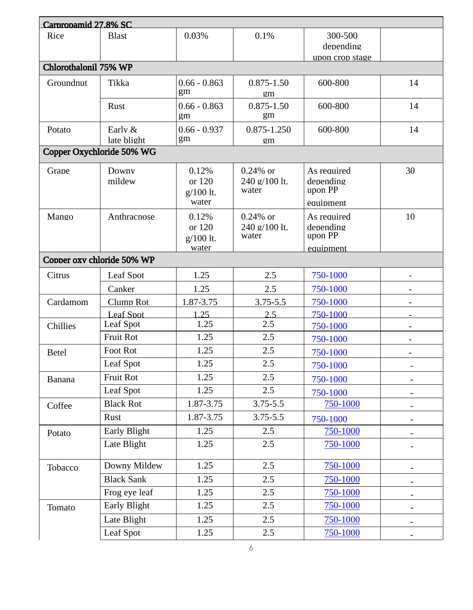| 0.03%<br>0.1%<br>Rice<br><b>Blast</b><br>300-500                                                        |                          |
|---------------------------------------------------------------------------------------------------------|--------------------------|
|                                                                                                         |                          |
| depending                                                                                               |                          |
| upon crop stage<br>Chlorothalonil 75% WP                                                                |                          |
| Groundnut<br>Tikka<br>$0.66 - 0.863$<br>600-800<br>$0.875 - 1.50$                                       | 14                       |
| gm<br>gm                                                                                                |                          |
| $0.66 - 0.863$<br>$0.875 - 1.50$<br>600-800<br>Rust<br>gm<br>gm                                         | 14                       |
| $0.66 - 0.937$<br>Early &<br>0.875-1.250<br>600-800<br>Potato<br>gm<br>late blight<br>gm                | 14                       |
| Copper Oxychloride 50% WG                                                                               |                          |
|                                                                                                         |                          |
| 0.12%<br>Downy<br>$0.24\%$ or<br>As required<br>Grape<br>depending<br>mildew<br>or 120<br>240 g/100 lt. | 30                       |
| upon PP<br>water<br>g/100 lt.<br>water<br>equipment                                                     |                          |
| Anthracnose<br>0.12%<br>$0.24\%$ or<br>As required<br>Mango                                             | 10                       |
| or 120<br>240 g/100 lt.<br>depending                                                                    |                          |
| upon PP<br>water<br>g/100 lt.                                                                           |                          |
| equipment<br>water                                                                                      |                          |
| Copper oxy chloride 50% WP                                                                              |                          |
| <b>Leaf Spot</b><br>1.25<br>750-1000<br>2.5<br>Citrus                                                   |                          |
| Canker<br>1.25<br>2.5<br>750-1000                                                                       |                          |
| 1.87-3.75<br>3.75-5.5<br>Cardamom<br>Clump Rot<br>750-1000                                              |                          |
| <b>Leaf Spot</b><br>1.25<br>750-1000<br>2.5                                                             |                          |
| Leaf Spot<br>1.25<br>2.5<br>Chillies<br>750-1000                                                        |                          |
| <b>Fruit Rot</b><br>1.25<br>2.5<br>750-1000                                                             |                          |
| 1.25<br>Foot Rot<br>2.5<br>750-1000<br><b>Betel</b>                                                     |                          |
| <b>Leaf Spot</b><br>1.25<br>2.5<br>750-1000                                                             |                          |
| Fruit Rot<br>1.25<br>2.5<br>750-1000<br><b>Banana</b>                                                   |                          |
| <b>Leaf Spot</b><br>2.5<br>1.25<br>750-1000                                                             | $\overline{\phantom{a}}$ |
| <b>Black Rot</b><br>1.87-3.75<br>3.75-5.5<br>750-1000<br>Coffee                                         |                          |
| Rust<br>1.87-3.75<br>3.75-5.5<br>750-1000                                                               |                          |
| Early Blight<br>2.5<br>1.25<br>750-1000<br>Potato                                                       |                          |
| Late Blight<br>2.5<br>1.25<br>750-1000                                                                  |                          |
| Downy Mildew<br>1.25<br>2.5<br>750-1000<br>Tobacco                                                      |                          |
| <b>Black Sank</b><br>1.25<br>2.5<br>750-1000                                                            |                          |
| Frog eye leaf<br>2.5<br>1.25<br>750-1000                                                                | $\overline{\phantom{a}}$ |
| <b>Early Blight</b><br>1.25<br>2.5<br>750-1000<br>Tomato                                                |                          |
| Late Blight<br>2.5<br>750-1000<br>1.25                                                                  |                          |
| <b>Leaf Spot</b><br>2.5<br>750-1000<br>1.25                                                             |                          |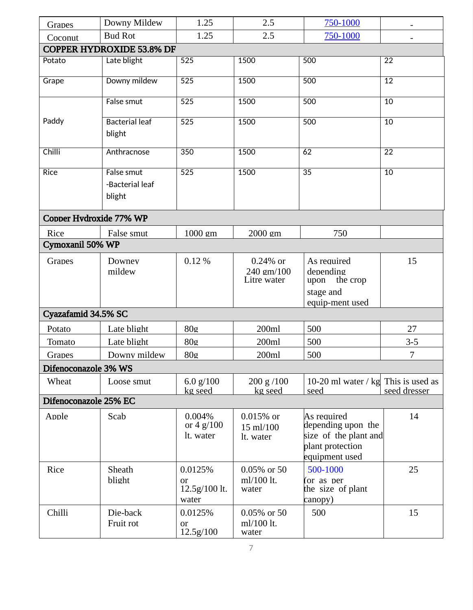| Grapes                  | Downy Mildew                            | 1.25                                    | 2.5                                      | 750-1000                                                                                         |                 |  |  |  |
|-------------------------|-----------------------------------------|-----------------------------------------|------------------------------------------|--------------------------------------------------------------------------------------------------|-----------------|--|--|--|
| Coconut                 | <b>Bud Rot</b>                          | 1.25                                    | 2.5                                      | 750-1000                                                                                         |                 |  |  |  |
|                         | <b>COPPER HYDROXIDE 53.8% DF</b>        |                                         |                                          |                                                                                                  |                 |  |  |  |
| Potato                  | Late blight                             | 525                                     | 1500                                     | 500                                                                                              | 22              |  |  |  |
| Grape                   | Downy mildew                            | $\overline{525}$                        | 1500                                     | 500                                                                                              | $\overline{12}$ |  |  |  |
|                         | False smut                              | $\overline{525}$                        | 1500                                     | 500                                                                                              | 10              |  |  |  |
| Paddy                   | <b>Bacterial leaf</b><br>blight         | $\overline{525}$                        | 1500                                     | 500                                                                                              | $\overline{10}$ |  |  |  |
| Chilli                  | Anthracnose                             | 350                                     | 1500                                     | 62                                                                                               | $\overline{22}$ |  |  |  |
| <b>Rice</b>             | False smut<br>-Bacterial leaf<br>blight | 525                                     | 1500                                     | $\overline{35}$                                                                                  | 10              |  |  |  |
| Copper Hydroxide 77% WP |                                         |                                         |                                          |                                                                                                  |                 |  |  |  |
| Rice                    | False smut                              | 1000 gm                                 | 2000 gm                                  | 750                                                                                              |                 |  |  |  |
| Cymoxanil 50% WP        |                                         |                                         |                                          |                                                                                                  |                 |  |  |  |
| Grapes                  | Downey<br>mildew                        | 0.12%                                   | $0.24\%$ or<br>240 gm/100<br>Litre water | As required<br>depending<br>the crop<br>upon<br>stage and<br>equip-ment used                     | 15              |  |  |  |
| Cyazafamid 34.5% SC     |                                         |                                         |                                          |                                                                                                  |                 |  |  |  |
| Potato                  | Late blight                             | 80g                                     | 200ml                                    | 500                                                                                              | 27              |  |  |  |
| Tomato                  | Late blight                             | 80g                                     | 200ml                                    | 500                                                                                              | $3-5$           |  |  |  |
| Grapes                  | Downy mildew                            | 80g                                     | 200ml                                    | 500                                                                                              | 7               |  |  |  |
| Difenoconazole 3% WS    |                                         |                                         |                                          |                                                                                                  |                 |  |  |  |
| Wheat                   | Loose smut                              | 6.0 $g/100$<br>kg seed                  | 200 g/100<br>kg seed                     | 10-20 ml water / kg This is used as<br>seed                                                      | seed dresser    |  |  |  |
| Difenoconazole 25% EC   |                                         |                                         |                                          |                                                                                                  |                 |  |  |  |
| Apple                   | Scab                                    | 0.004%<br>or 4 $g/100$<br>lt. water     | $0.015%$ or<br>15 ml/100<br>lt. water    | As required<br>depending upon the<br>size of the plant and<br>plant protection<br>equipment used | 14              |  |  |  |
| Rice                    | Sheath<br>blight                        | 0.0125%<br>or<br>12.5g/100 lt.<br>water | 0.05% or 50<br>ml/100 lt.<br>water       | 500-1000<br>(or as per<br>the size of plant<br>canopy)                                           | 25              |  |  |  |
| Chilli                  | Die-back<br>Fruit rot                   | 0.0125%<br>or<br>12.5g/100              | 0.05% or 50<br>ml/100 lt.<br>water       | 500                                                                                              | 15              |  |  |  |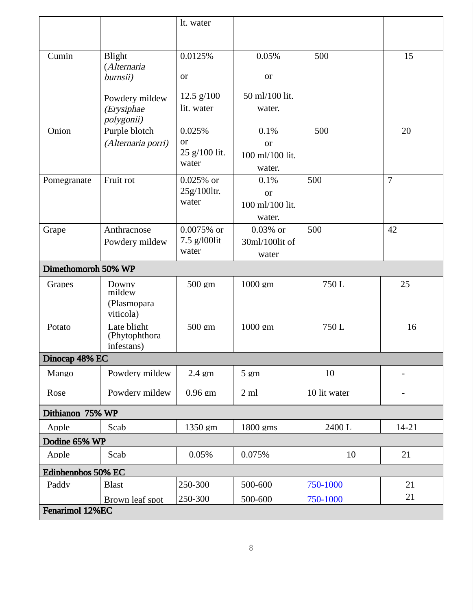|                     |                                             | lt. water                    |                                 |              |                |  |
|---------------------|---------------------------------------------|------------------------------|---------------------------------|--------------|----------------|--|
|                     |                                             |                              |                                 |              |                |  |
| Cumin               | <b>Blight</b>                               | 0.0125%                      | 0.05%                           | 500          | 15             |  |
|                     | (Alternaria<br>burnsii)                     | or                           | or                              |              |                |  |
|                     | Powdery mildew                              | 12.5 g/100                   | 50 ml/100 lit.                  |              |                |  |
|                     | (Erysiphae<br>polygonii)                    | lit. water                   | water.                          |              |                |  |
| Onion               | Purple blotch                               | 0.025%                       | 0.1%                            | 500          | 20             |  |
|                     | (Alternaria porri)                          | or<br>25 g/100 lit.<br>water | or<br>100 ml/100 lit.<br>water. |              |                |  |
| Pomegranate         | Fruit rot                                   | $0.025%$ or                  | 0.1%                            | 500          | $\overline{7}$ |  |
|                     |                                             | 25g/100ltr.<br>water         | or                              |              |                |  |
|                     |                                             |                              | 100 ml/100 lit.<br>water.       |              |                |  |
| Grape               | Anthracnose                                 | 0.0075% or                   | $0.03\%$ or                     | 500          | 42             |  |
|                     | Powdery mildew                              | 7.5 g/l00lit<br>water        | 30ml/100lit of                  |              |                |  |
|                     |                                             |                              | water                           |              |                |  |
| Dimethomorph 50% WP |                                             |                              |                                 |              |                |  |
| Grapes              | Downy<br>mildew<br>(Plasmopara<br>viticola) | 500 gm                       | 1000 gm                         | 750L         | 25             |  |
| Potato              | Late blight<br>(Phytophthora<br>infestans)  | 500 gm                       | 1000 gm                         | 750L         | 16             |  |
| Dinocap 48% EC      |                                             |                              |                                 |              |                |  |
| Mango               | Powdery mildew                              | 2.4 gm                       | $5 \text{ cm}$                  | 10           |                |  |
| Rose                | Powdery mildew                              | $0.96$ gm                    | 2ml                             | 10 lit water | -              |  |
| Dithianon 75% WP    |                                             |                              |                                 |              |                |  |
| Apple               | Scab                                        | 1350 gm                      | 1800 gms                        | 2400L        | 14-21          |  |
| Dodine 65% WP       |                                             |                              |                                 |              |                |  |
| Apple               | Scab                                        | 0.05%                        | 0.075%                          | 10           | 21             |  |
| Ediphenphos 50% EC  |                                             |                              |                                 |              |                |  |
| Paddy               | <b>Blast</b>                                | 250-300                      | 500-600                         | 750-1000     | 21             |  |
|                     | Brown leaf spot                             | 250-300                      | 500-600                         | 750-1000     | 21             |  |
| Fenarimol 12%EC     |                                             |                              |                                 |              |                |  |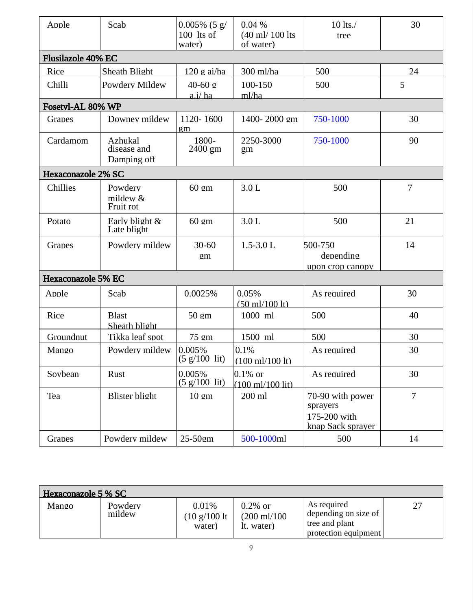| Apple                     | Scab                                  | $0.005\%$ (5 g/<br>100 lts of<br>water) | $0.04\%$<br>(40 ml/ 100 lts)<br>of water)         | 10 lts./<br>tree                                                  | 30             |
|---------------------------|---------------------------------------|-----------------------------------------|---------------------------------------------------|-------------------------------------------------------------------|----------------|
| Flusilazole 40% EC        |                                       |                                         |                                                   |                                                                   |                |
| Rice                      | Sheath Blight                         | $120$ g ai/ha                           | 300 ml/ha                                         | 500                                                               | 24             |
| Chilli                    | Powdery Mildew                        | $40 - 60g$<br>a.i/ ha                   | 100-150<br>ml/ha                                  | 500                                                               | 5              |
| Fosetvl-AL 80% WP         |                                       |                                         |                                                   |                                                                   |                |
| Grapes                    | Downey mildew                         | 1120-1600<br>gm                         | 1400-2000 gm                                      | 750-1000                                                          | 30             |
| Cardamom                  | Azhukal<br>disease and<br>Damping off | 1800-<br>2400 gm                        | 2250-3000<br>gm                                   | 750-1000                                                          | 90             |
| <b>Hexaconazole 2% SC</b> |                                       |                                         |                                                   |                                                                   |                |
| Chillies                  | Powdery<br>mildew &<br>Fruit rot      | $60 \text{ cm}$                         | 3.0 L                                             | 500                                                               | 7              |
| Potato                    | Early blight &<br>Late blight         | $60 \text{ gm}$                         | 3.0 <sub>L</sub>                                  | 500                                                               | 21             |
| Grapes                    | Powdery mildew                        | 30-60<br>gm                             | $1.5 - 3.0$ L                                     | 500-750<br>depending<br>upon crop canopy                          | 14             |
| <b>Hexaconazole 5% EC</b> |                                       |                                         |                                                   |                                                                   |                |
| Apple                     | Scab                                  | 0.0025%                                 | 0.05%<br>$(50 \text{ ml}/100 \text{ lt})$         | As required                                                       | 30             |
| Rice                      | <b>Blast</b><br>Sheath blight         | $50 \text{ cm}$                         | 1000 ml                                           | 500                                                               | 40             |
| Groundnut                 | Tikka leaf spot                       | 75 gm                                   | 1500 ml                                           | 500                                                               | 30             |
| Mango                     | Powdery mildew                        | 0.005%<br>$(5 g/100 \text{ lit})$       | 0.1%<br>(100 ml/100 lt)                           | As required                                                       | 30             |
| Sovbean                   | <b>Rust</b>                           | 0.005%<br>(5 g/100 lit)                 | $ 0.1\%$ or<br>$(100 \text{ ml}/100 \text{ lit})$ | As required                                                       | 30             |
| Tea                       | <b>Blister blight</b>                 | $10 \text{ gm}$                         | 200 ml                                            | 70-90 with power<br>sprayers<br>175-200 with<br>knap Sack sprayer | $\overline{7}$ |
| Grapes                    | Powdery mildew                        | 25-50gm                                 | 500-1000ml                                        | 500                                                               | 14             |

| Hexaconazole 5 % SC |                   |                                                    |                                                    |                                                                               |    |  |  |  |
|---------------------|-------------------|----------------------------------------------------|----------------------------------------------------|-------------------------------------------------------------------------------|----|--|--|--|
| Mango               | Powdery<br>mildew | 0.01%<br>$(10 \text{ g}/100 \text{ lt})$<br>water) | $0.2\%$ or<br>$(200 \text{ ml}/100)$<br>It. water) | As required<br>depending on size of<br>tree and plant<br>protection equipment | 27 |  |  |  |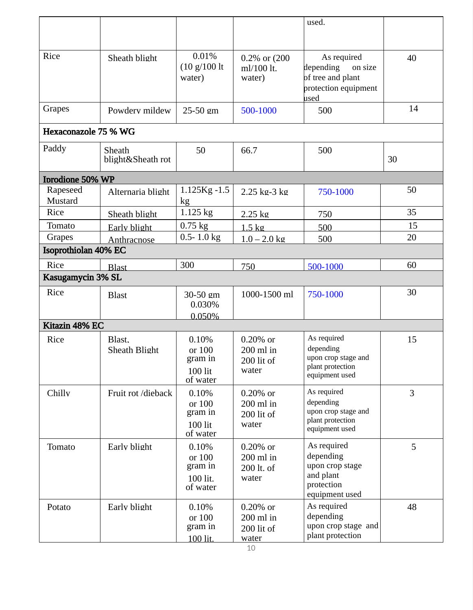|                             |                                |                                                     |                                                         | used.                                                                                    |    |
|-----------------------------|--------------------------------|-----------------------------------------------------|---------------------------------------------------------|------------------------------------------------------------------------------------------|----|
|                             |                                |                                                     |                                                         |                                                                                          |    |
| Rice                        | Sheath blight                  | 0.01%<br>(10 g/100 h)<br>water)                     | 0.2% or (200<br>ml/100 lt.<br>water)                    | As required<br>depending<br>on size<br>of tree and plant<br>protection equipment<br>used | 40 |
| Grapes                      | Powdery mildew                 | 25-50 gm                                            | 500-1000                                                | 500                                                                                      | 14 |
| <b>Hexaconazole 75 % WG</b> |                                |                                                     |                                                         |                                                                                          |    |
| Paddy                       | Sheath<br>blight&Sheath rot    | 50                                                  | 66.7                                                    | 500                                                                                      | 30 |
| <b>I</b> brodione 50% WP    |                                |                                                     |                                                         |                                                                                          |    |
| Rapeseed<br>Mustard         | Alternaria blight              | $1.125Kg - 1.5$<br>kg                               | 2.25 kg-3 kg                                            | 750-1000                                                                                 | 50 |
| Rice                        | Sheath blight                  | $1.125$ kg                                          | 2.25 kg                                                 | 750                                                                                      | 35 |
| Tomato                      | Early blight                   | $0.75$ kg                                           | $1.5 \text{ kg}$                                        | 500                                                                                      | 15 |
| Grapes                      | Anthracnose                    | $0.5 - 1.0$ kg                                      | $1.0 - 2.0$ kg                                          | 500                                                                                      | 20 |
| Isoprothiolan 40% EC        |                                |                                                     |                                                         |                                                                                          |    |
| Rice                        | <b>Blast</b>                   | 300                                                 | 750                                                     | 500-1000                                                                                 | 60 |
| Kasugamycin 3% SL           |                                |                                                     |                                                         |                                                                                          |    |
| Rice                        | <b>Blast</b>                   | 30-50 gm<br>0.030%                                  | 1000-1500 ml                                            | 750-1000                                                                                 | 30 |
| Kitazin 48% EC              |                                | 0.050%                                              |                                                         |                                                                                          |    |
| Rice                        | Blast.<br><b>Sheath Blight</b> | 0.10%<br>or 100<br>gram in<br>$100$ lit<br>of water | $0.20\%$ or<br>200 ml in<br>200 lit of<br>water         | As required<br>depending<br>upon crop stage and<br>plant protection<br>equipment used    | 15 |
| Chilly                      | Fruit rot /dieback             | 0.10%<br>or 100<br>gram in<br>$100$ lit<br>of water | $0.20\%$ or<br>200 ml in<br>200 lit of<br>water         | As required<br>depending<br>upon crop stage and<br>plant protection<br>equipment used    | 3  |
| Tomato                      | Early blight                   | 0.10%<br>or 100<br>gram in<br>100 lit.<br>of water  | $0.20%$ or<br>$200$ ml in<br>200 lt. of<br>water        | As required<br>depending<br>upon crop stage<br>and plant<br>protection<br>equipment used | 5  |
| Potato                      | Early blight                   | 0.10%<br>or 100<br>gram in<br>100 lit.              | $0.20\%$ or<br>$200$ ml in<br>200 lit of<br>water<br>10 | As required<br>depending<br>upon crop stage and<br>plant protection                      | 48 |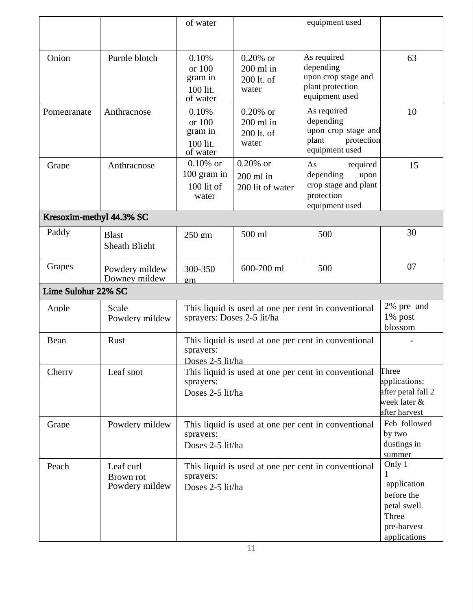|                          |                                          | of water                                                                             |                                                                         | equipment used                                                                              |                                                                                                  |  |
|--------------------------|------------------------------------------|--------------------------------------------------------------------------------------|-------------------------------------------------------------------------|---------------------------------------------------------------------------------------------|--------------------------------------------------------------------------------------------------|--|
| Onion                    | Purple blotch                            | 0.10%<br>or 100<br>gram in<br>100 lit.<br>of water                                   | $0.20\%$ or<br>$200$ ml in<br>200 lt. of<br>water                       | As required<br>depending<br>upon crop stage and<br>plant protection<br>equipment used       | 63                                                                                               |  |
| Pomegranate              | Anthracnose                              | 0.10%<br>or 100<br>gram in<br>100 lit.<br>of water                                   | $0.20\%$ or<br>$200$ ml in<br>200 lt. of<br>water                       | As required<br>depending<br>upon crop stage and<br>plant<br>protection<br>equipment used    | 10                                                                                               |  |
| Grape                    | Anthracnose                              | $0.10\%$ or<br>100 gram in<br>100 lit of<br>water                                    | 0.20% or<br>200 ml in<br>200 lit of water                               | As<br>required<br>depending<br>upon<br>crop stage and plant<br>protection<br>equipment used | 15                                                                                               |  |
| Kresoxim-methyl 44.3% SC |                                          |                                                                                      |                                                                         |                                                                                             |                                                                                                  |  |
| Paddy                    | <b>Blast</b><br><b>Sheath Blight</b>     | 250 gm                                                                               | 500 ml                                                                  | 500                                                                                         | 30                                                                                               |  |
| Grapes                   | Powdery mildew<br>Downey mildew          | 300-350<br>$g$ m                                                                     | 600-700 ml                                                              | 500                                                                                         | 07                                                                                               |  |
| Lime Sulphur 22% SC      |                                          |                                                                                      |                                                                         |                                                                                             |                                                                                                  |  |
| Apple                    | Scale<br>Powdery mildew                  | sprayers: Doses 2-5 lit/ha                                                           |                                                                         | This liquid is used at one per cent in conventional                                         | 2% pre and<br>1% post<br>blossom                                                                 |  |
| <b>Bean</b>              | Rust                                     | sprayers:<br>Doses 2-5 lit/ha                                                        |                                                                         | This liquid is used at one per cent in conventional                                         |                                                                                                  |  |
| Cherry                   | Leaf spot                                | sprayers:                                                                            | This liquid is used at one per cent in conventional<br>Doses 2-5 lit/ha |                                                                                             |                                                                                                  |  |
| Grape                    | Powdery mildew                           | This liquid is used at one per cent in conventional<br>sprayers:<br>Doses 2-5 lit/ha |                                                                         |                                                                                             | Feb followed<br>by two<br>dustings in<br>summer                                                  |  |
| Peach                    | Leaf curl<br>Brown rot<br>Powdery mildew | sprayers:<br>Doses 2-5 lit/ha                                                        |                                                                         | This liquid is used at one per cent in conventional                                         | Only 1<br>1<br>application<br>before the<br>petal swell.<br>Three<br>pre-harvest<br>applications |  |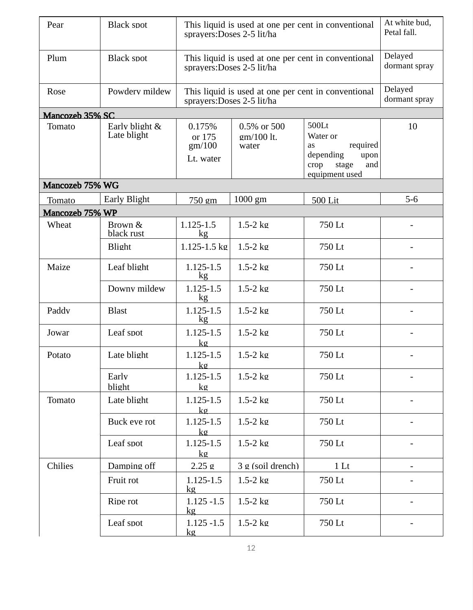| Pear            | <b>Black spot</b>             |                                         | This liquid is used at one per cent in conventional<br>sprayers: Doses 2-5 lit/ha |                                                                                                    | At white bud,<br>Petal fall. |
|-----------------|-------------------------------|-----------------------------------------|-----------------------------------------------------------------------------------|----------------------------------------------------------------------------------------------------|------------------------------|
| Plum            | <b>Black spot</b>             |                                         | This liquid is used at one per cent in conventional<br>sprayers: Doses 2-5 lit/ha |                                                                                                    | Delayed<br>dormant spray     |
| Rose            | Powdery mildew                | sprayers: Doses 2-5 lit/ha              | This liquid is used at one per cent in conventional                               |                                                                                                    | Delayed<br>dormant spray     |
| Mancozeb 35% SC |                               |                                         |                                                                                   |                                                                                                    |                              |
| Tomato          | Early blight &<br>Late blight | 0.175%<br>or 175<br>gm/100<br>Lt. water | 0.5% or 500<br>gm/100 lt.<br>water                                                | 500Lt<br>Water or<br>required<br>as<br>depending<br>upon<br>stage<br>and<br>crop<br>equipment used | 10                           |
| Mancozeb 75% WG |                               |                                         |                                                                                   |                                                                                                    |                              |
| Tomato          | <b>Early Blight</b>           | 750 gm                                  | $1000$ gm                                                                         | 500 Lit                                                                                            | $5-6$                        |
| Mancozeb 75% WP |                               |                                         |                                                                                   |                                                                                                    |                              |
| Wheat           | Brown &<br>black rust         | 1.125-1.5<br>kg                         | $1.5-2$ kg                                                                        | 750 Lt                                                                                             |                              |
|                 | Blight                        | 1.125-1.5 kg                            | $1.5-2$ kg                                                                        | 750 Lt                                                                                             |                              |
| Maize           | Leaf blight                   | 1.125-1.5<br>kg                         | $1.5-2$ kg                                                                        | 750 Lt                                                                                             |                              |
|                 | Downy mildew                  | 1.125-1.5<br>kg                         | $1.5-2$ kg                                                                        | 750 Lt                                                                                             |                              |
| Paddv           | <b>Blast</b>                  | 1.125-1.5<br>kg                         | $1.5-2$ kg                                                                        | 750 Lt                                                                                             |                              |
| Jowar           | Leaf spot                     | 1.125-1.5<br>kg                         | $1.5-2$ kg                                                                        | 750 Lt                                                                                             |                              |
| Potato          | Late blight                   | 1.125-1.5<br><u>kø</u>                  | $1.5-2$ kg                                                                        | 750 Lt                                                                                             |                              |
|                 | Early<br>blight               | 1.125-1.5<br>kg                         | $1.5-2$ kg                                                                        | 750 Lt                                                                                             |                              |
| Tomato          | Late blight                   | 1.125-1.5<br>kg                         | $1.5-2$ kg                                                                        | 750 Lt                                                                                             |                              |
|                 | Buck eve rot                  | 1.125-1.5<br>$k$ g                      | $1.5-2$ kg                                                                        | 750 Lt                                                                                             |                              |
|                 | Leaf spot                     | 1.125-1.5<br>kg                         | $1.5-2$ kg                                                                        | 750 Lt                                                                                             |                              |
| Chilies         | Damping off                   | 2.25g                                   | 3 g (soil drench)                                                                 | 1 <sub>It</sub>                                                                                    |                              |
|                 | Fruit rot                     | 1.125-1.5<br>kg                         | $1.5-2$ kg                                                                        | 750 Lt                                                                                             |                              |
|                 | Ripe rot                      | $1.125 - 1.5$<br>kg                     | $1.5-2$ kg                                                                        | 750 Lt                                                                                             |                              |
|                 | Leaf spot                     | $1.125 - 1.5$<br>kg                     | $1.5-2$ kg                                                                        | 750 Lt                                                                                             |                              |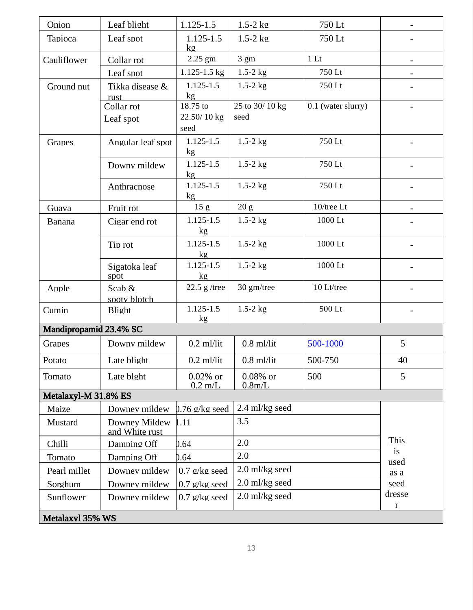| Onion                  | Leaf blight                     | $1.125 - 1.5$                   | $1.5-2$ kg             | 750 Lt             |             |
|------------------------|---------------------------------|---------------------------------|------------------------|--------------------|-------------|
| <b>Tapioca</b>         | Leaf spot                       | $1.125 - 1.5$<br><b>kg</b>      | $1.5-2$ kg             | 750 Lt             |             |
| Cauliflower            | Collar rot                      | 2.25 gm                         | $3 \text{ gm}$         | 1 <sub>It</sub>    |             |
|                        | Leaf spot                       | $1.125 - 1.5$ kg                | $1.5 - 2$ kg           | 750 Lt             |             |
| Ground nut             | Tikka disease &<br>rust.        | $1.125 - 1.5$<br>kg             | $1.5-2$ kg             | 750 Lt             |             |
|                        | Collar rot<br>Leaf spot         | 18.75 to<br>22.50/10 kg<br>seed | 25 to 30/10 kg<br>seed | 0.1 (water slurry) |             |
| Grapes                 | Angular leaf spot               | 1.125-1.5<br>kg                 | $1.5-2$ kg             | 750 Lt             |             |
|                        | Downy mildew                    | $1.125 - 1.5$<br>kg             | $1.5-2$ kg             | 750 Lt             |             |
|                        | Anthracnose                     | $1.125 - 1.5$<br>kg             | $1.5-2$ kg             | 750 Lt             |             |
| Guava                  | Fruit rot                       | 15 <sub>g</sub>                 | 20 g                   | $10$ /tree Lt      |             |
| <b>Banana</b>          | Cigar end rot                   | 1.125-1.5<br>kg                 | $1.5-2$ kg             | 1000 Lt            |             |
|                        | Tip rot                         | 1.125-1.5<br>kg                 | $1.5 - 2$ kg           | 1000 Lt            |             |
|                        | Sigatoka leaf<br>spot           | 1.125-1.5<br>kg                 | $1.5 - 2$ kg           | 1000 Lt            |             |
| Apple                  | Scab &<br>sooty blotch          | 22.5 $g$ /tree                  | 30 gm/tree             | 10 Lt/tree         |             |
| Cumin                  | <b>Blight</b>                   | 1.125-1.5<br>kg                 | $1.5-2$ kg             | 500 Lt             |             |
| Mandipropamid 23.4% SC |                                 |                                 |                        |                    |             |
| Grapes                 | Downy mildew                    | $0.2$ ml/lit                    | $0.8$ ml/lit           | 500-1000           | 5           |
| Potato                 | Late blight                     | $0.2$ ml/lit                    | $0.8$ ml/lit           | 500-750            | 40          |
| Tomato                 | Late blght                      | $0.02\%$ or<br>$0.2$ m/L        | $0.08\%$ or<br>0.8m/L  | 500                | 5           |
| Metalaxyl-M 31.8% ES   |                                 |                                 |                        |                    |             |
| Maize                  | Downey mildew                   | $0.76$ g/kg seed                | 2.4 ml/kg seed         |                    |             |
| Mustard                | Downey Mildew<br>and White rust | 1.11                            | 3.5                    |                    |             |
| Chilli                 | Damping Off                     | 0.64                            | 2.0                    |                    | This        |
| Tomato                 | Damping Off                     | D.64                            | 2.0                    |                    | is<br>used  |
| Pearl millet           | Downey mildew                   | $0.7$ g/kg seed                 | 2.0 ml/kg seed         |                    | as a        |
| Sorghum                | Downey mildew                   | $0.7$ g/kg seed                 | 2.0 ml/kg seed         |                    | seed        |
| Sunflower              | Downey mildew                   | $0.7$ g/kg seed                 | 2.0 ml/kg seed         |                    | dresse<br>r |
| Metalaxvl 35% WS       |                                 |                                 |                        |                    |             |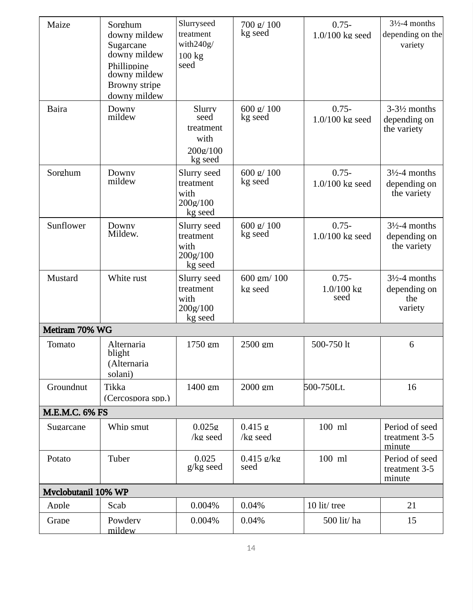| Maize                 | Sorghum<br>downy mildew<br>Sugarcane<br>downy mildew<br>Phillippine<br>downy mildew<br>Browny stripe<br>downy mildew | Slurryseed<br>treatment<br>with $240g/$<br>100 kg<br>seed  | 700 g/ 100<br>kg seed  | $0.75 -$<br>$1.0/100$ kg seed  | $312-4$ months<br>depending on the<br>variety              |
|-----------------------|----------------------------------------------------------------------------------------------------------------------|------------------------------------------------------------|------------------------|--------------------------------|------------------------------------------------------------|
| <b>Baira</b>          | Downy<br>mildew                                                                                                      | Slurry<br>seed<br>treatment<br>with<br>200g/100<br>kg seed | 600 g/ 100<br>kg seed  | $0.75 -$<br>$1.0/100$ kg seed  | $3-3\frac{1}{2}$ months<br>depending on<br>the variety     |
| Sorghum               | Downy<br>mildew                                                                                                      | Slurry seed<br>treatment<br>with<br>200g/100<br>kg seed    | 600 g/ 100<br>kg seed  | $0.75 -$<br>$1.0/100$ kg seed  | $3\frac{1}{2}$ -4 months<br>depending on<br>the variety    |
| Sunflower             | Downy<br>Mildew.                                                                                                     | Slurry seed<br>treatment<br>with<br>200g/100<br>kg seed    | 600 g/ 100<br>kg seed  | $0.75 -$<br>$1.0/100$ kg seed  | $3\frac{1}{2}$ -4 months<br>depending on<br>the variety    |
| Mustard               | White rust                                                                                                           | Slurry seed<br>treatment<br>with<br>200g/100<br>kg seed    | 600 gm/ 100<br>kg seed | $0.75 -$<br>1.0/100 kg<br>seed | $3\frac{1}{2}$ -4 months<br>depending on<br>the<br>variety |
| Metiram 70% WG        |                                                                                                                      |                                                            |                        |                                |                                                            |
| Tomato                | Alternaria<br>blight<br>(Alternaria<br>solani)                                                                       | 1750 gm                                                    | 2500 gm                | 500-750 lt                     | 6                                                          |
| Groundnut             | Tikka<br>(Cercospora spp.)                                                                                           | 1400 gm                                                    | 2000 gm                | 500-750Lt.                     | 16                                                         |
| <b>M.E.M.C. 6% FS</b> |                                                                                                                      |                                                            |                        |                                |                                                            |
| Sugarcane             | Whip smut                                                                                                            | 0.025g<br>/kg seed                                         | 0.415 g<br>/kg seed    | 100 ml                         | Period of seed<br>treatment 3-5<br>minute                  |
| Potato                | Tuber                                                                                                                | 0.025<br>g/kg seed                                         | $0.415$ g/kg<br>seed   | 100 ml                         | Period of seed<br>treatment 3-5<br>minute                  |
| Myclobutanil 10% WP   |                                                                                                                      |                                                            |                        |                                |                                                            |
| Apple                 | Scab                                                                                                                 | 0.004%                                                     | 0.04%                  | 10 lit/ tree                   | 21                                                         |
| Grape                 | Powderv<br>mildew                                                                                                    | 0.004%                                                     | 0.04%                  | 500 lit/ ha                    | 15                                                         |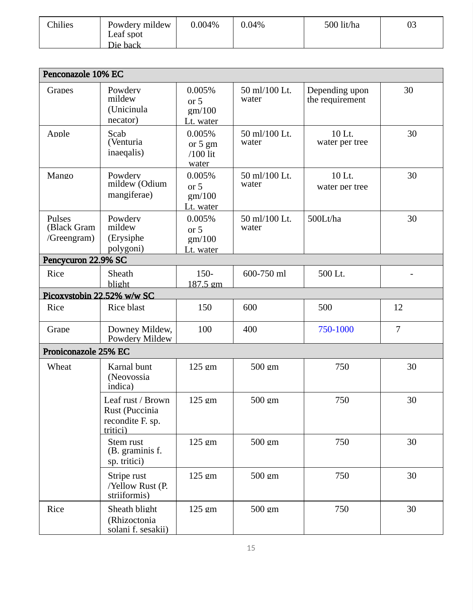| <b>Chilies</b><br>500 lit/ha<br>Powdery mildew<br>0.004%<br>03<br>0.04%<br>Leaf spot<br>Die back |
|--------------------------------------------------------------------------------------------------|
|--------------------------------------------------------------------------------------------------|

| Penconazole 10% EC                   |                                                                     |                                        |                        |                                   |                |
|--------------------------------------|---------------------------------------------------------------------|----------------------------------------|------------------------|-----------------------------------|----------------|
| Grapes                               | Powdery<br>mildew<br>(Unicinula<br>necator)                         | 0.005%<br>or 5<br>gm/100<br>Lt. water  | 50 ml/100 Lt.<br>water | Depending upon<br>the requirement | 30             |
| Apple                                | Scab<br>(Venturia<br>inaeqalis)                                     | 0.005%<br>or 5 gm<br>/100 lit<br>water | 50 ml/100 Lt.<br>water | 10 Lt.<br>water per tree          | 30             |
| Mango                                | Powdery<br>mildew (Odium<br>mangiferae)                             | 0.005%<br>or 5<br>gm/100<br>Lt. water  | 50 ml/100 Lt.<br>water | 10 Lt.<br>water per tree          | 30             |
| Pulses<br>(Black Gram<br>/Greengram) | Powdery<br>mildew<br>(Erysiphe<br>polygoni)                         | 0.005%<br>or 5<br>gm/100<br>Lt. water  | 50 ml/100 Lt.<br>water | 500Lt/ha                          | 30             |
| Pencycuron 22.9% SC                  |                                                                     |                                        |                        |                                   |                |
| Rice                                 | Sheath<br>blight                                                    | 150-<br>187.5 gm                       | 600-750 ml             | 500 Lt.                           |                |
| Picoxystobin 22.52% w/w SC           |                                                                     |                                        |                        |                                   |                |
| Rice                                 | <b>Rice blast</b>                                                   | 150                                    | 600                    | 500                               | 12             |
| Grape                                | Downey Mildew,<br>Powdery Mildew                                    | 100                                    | 400                    | 750-1000                          | $\overline{7}$ |
| Propiconazole 25% EC                 |                                                                     |                                        |                        |                                   |                |
| Wheat                                | Karnal bunt<br>(Neovossia<br>indica)                                | 125 gm                                 | 500 gm                 | 750                               | 30             |
|                                      | Leaf rust / Brown<br>Rust (Puccinia<br>recondite F. sp.<br>tritici) | 125 gm                                 | 500 gm                 | 750                               | 30             |
|                                      | Stem rust<br>(B. graminis f.<br>sp. tritici)                        | 125 gm                                 | 500 gm                 | 750                               | 30             |
|                                      | Stripe rust<br>/Yellow Rust (P.<br>striiformis)                     | 125 gm                                 | 500 gm                 | 750                               | 30             |
| Rice                                 | Sheath blight<br>(Rhizoctonia<br>solani f. sesakii)                 | 125 gm                                 | 500 gm                 | 750                               | 30             |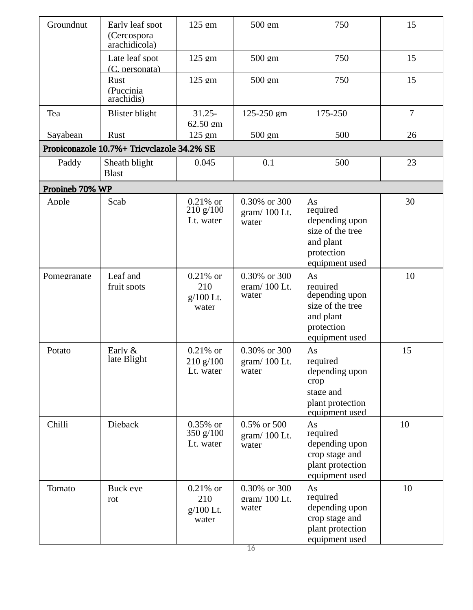| Groundnut       | Early leaf spot<br>(Cercospora<br>arachidicola) | 125 gm                                   | 500 gm                                 | 750                                                                                               | 15             |
|-----------------|-------------------------------------------------|------------------------------------------|----------------------------------------|---------------------------------------------------------------------------------------------------|----------------|
|                 | Late leaf spot<br>(C. personata)                | 125 gm                                   | $500 \text{ gm}$                       | 750                                                                                               | 15             |
|                 | Rust<br>(Puccinia<br>arachidis)                 | 125 gm                                   | 500 gm                                 | 750                                                                                               | 15             |
| Tea             | <b>Blister blight</b>                           | $31.25 -$<br>62.50 gm                    | 125-250 gm                             | 175-250                                                                                           | $\overline{7}$ |
| Savabean        | Rust                                            | 125 gm                                   | 500 gm                                 | 500                                                                                               | 26             |
|                 | Propiconazole 10.7%+ Tricvclazole 34.2% SE      |                                          |                                        |                                                                                                   |                |
| Paddy           | Sheath blight<br><b>Blast</b>                   | 0.045                                    | 0.1                                    | 500                                                                                               | 23             |
| Propineb 70% WP |                                                 |                                          |                                        |                                                                                                   |                |
| Apple           | Scab                                            | $0.21\%$ or<br>210 g/100<br>Lt. water    | 0.30% or 300<br>gram/100 Lt.<br>water  | As<br>required<br>depending upon<br>size of the tree<br>and plant<br>protection<br>equipment used | 30             |
| Pomegranate     | Leaf and<br>fruit spots                         | $0.21\%$ or<br>210<br>g/100 Lt.<br>water | 0.30% or 300<br>gram/ 100 Lt.<br>water | As<br>required<br>depending upon<br>size of the tree<br>and plant<br>protection<br>equipment used | 10             |
| Potato          | Early &<br>late Blight                          | $0.21\%$ or<br>210 g/100<br>Lt. water    | 0.30% or 300<br>gram/100 Lt.<br>water  | As<br>required<br>depending upon<br>crop<br>stage and<br>plant protection<br>equipment used       | 15             |
| Chilli          | Dieback                                         | $0.35\%$ or<br>350 $g/100$<br>Lt. water  | 0.5% or 500<br>gram/100 Lt.<br>water   | As<br>required<br>depending upon<br>crop stage and<br>plant protection<br>equipment used          | 10             |
| Tomato          | Buck eve<br>rot                                 | $0.21\%$ or<br>210<br>g/100 Lt.<br>water | 0.30% or 300<br>gram/100 Lt.<br>water  | As<br>required<br>depending upon<br>crop stage and<br>plant protection<br>equipment used          | 10             |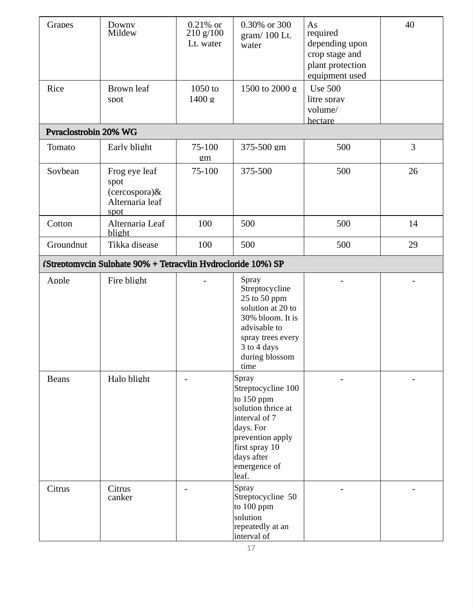| Grapes                                                       | Downy<br>Mildew                                                   | $0.21\%$ or<br>210 g/100<br>Lt. water | 0.30% or 300<br>gram/100 Lt.<br>water                                                                                                                                      | As<br>required<br>depending upon<br>crop stage and<br>plant protection<br>equipment used | 40 |  |  |
|--------------------------------------------------------------|-------------------------------------------------------------------|---------------------------------------|----------------------------------------------------------------------------------------------------------------------------------------------------------------------------|------------------------------------------------------------------------------------------|----|--|--|
| Rice                                                         | Brown leaf<br>spot                                                | 1050 to<br>1400 g                     | 1500 to 2000 g                                                                                                                                                             | <b>Use 500</b><br>litre sprav<br>volume/<br>hectare                                      |    |  |  |
| Pvraclostrobin 20% WG                                        |                                                                   |                                       |                                                                                                                                                                            |                                                                                          |    |  |  |
| Tomato                                                       | Early blight                                                      | 75-100<br>gm                          | 375-500 gm                                                                                                                                                                 | 500                                                                                      | 3  |  |  |
| Sovbean                                                      | Frog eye leaf<br>spot<br>(cercospora)&<br>Alternaria leaf<br>spot | 75-100                                | 375-500                                                                                                                                                                    | 500                                                                                      | 26 |  |  |
| Cotton                                                       | Alternaria Leaf<br>blight                                         | 100                                   | 500                                                                                                                                                                        | 500                                                                                      | 14 |  |  |
| Groundnut                                                    | Tikka disease                                                     | 100                                   | 500                                                                                                                                                                        | 500                                                                                      | 29 |  |  |
| (Streptomycin Sulphate 90% + Tetracylin Hydrocloride 10%) SP |                                                                   |                                       |                                                                                                                                                                            |                                                                                          |    |  |  |
| Apple                                                        | Fire blight                                                       |                                       | Spray<br>Streptocycline<br>25 to 50 ppm<br>solution at 20 to<br>30% bloom. It is<br>advisable to<br>spray trees every<br>3 to 4 days<br>during blossom<br>time             |                                                                                          |    |  |  |
| <b>Beans</b>                                                 | Halo blight                                                       |                                       | Spray<br>Streptocycline 100<br>to 150 ppm<br>solution thrice at<br>interval of 7<br>days. For<br>prevention apply<br>first spray 10<br>days after<br>emergence of<br>leaf. |                                                                                          |    |  |  |
| Citrus                                                       | Citrus<br>canker                                                  |                                       | Spray<br>Streptocycline 50<br>to 100 ppm<br>solution<br>repeatedly at an<br>interval of                                                                                    |                                                                                          |    |  |  |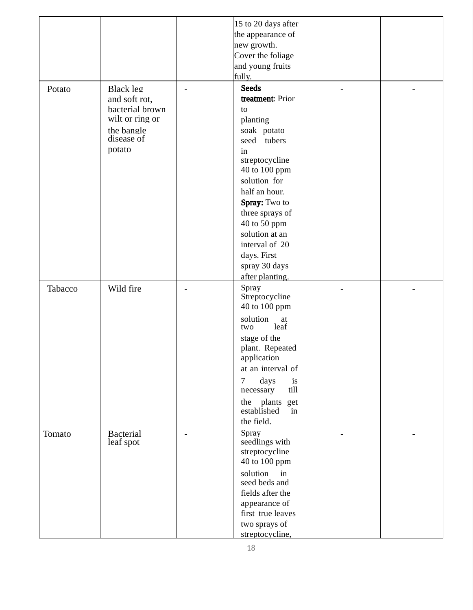|         |                                                                                                        | 15 to 20 days after<br>the appearance of<br>new growth.<br>Cover the foliage<br>and young fruits<br>fully.                                                                                                                                                                                            |  |
|---------|--------------------------------------------------------------------------------------------------------|-------------------------------------------------------------------------------------------------------------------------------------------------------------------------------------------------------------------------------------------------------------------------------------------------------|--|
| Potato  | Black leg<br>and soft rot,<br>bacterial brown<br>wilt or ring or<br>the bangle<br>disease of<br>potato | <b>Seeds</b><br>treatment: Prior<br>to<br>planting<br>soak potato<br>seed tubers<br>in<br>streptocycline<br>40 to 100 ppm<br>solution for<br>half an hour.<br>Spray: Two to<br>three sprays of<br>40 to 50 ppm<br>solution at an<br>interval of 20<br>days. First<br>spray 30 days<br>after planting. |  |
| Tabacco | Wild fire                                                                                              | Spray<br>Streptocycline<br>40 to 100 ppm<br>solution<br>at<br>leaf<br>two<br>stage of the<br>plant. Repeated<br>application<br>at an interval of<br>$\overline{7}$<br>days<br>is<br>till<br>necessary<br>the plants get<br>established<br>in<br>the field.                                            |  |
| Tomato  | <b>Bacterial</b><br>leaf spot                                                                          | Spray<br>seedlings with<br>streptocycline<br>40 to 100 ppm<br>solution<br>in<br>seed beds and<br>fields after the<br>appearance of<br>first true leaves<br>two sprays of<br>streptocycline,                                                                                                           |  |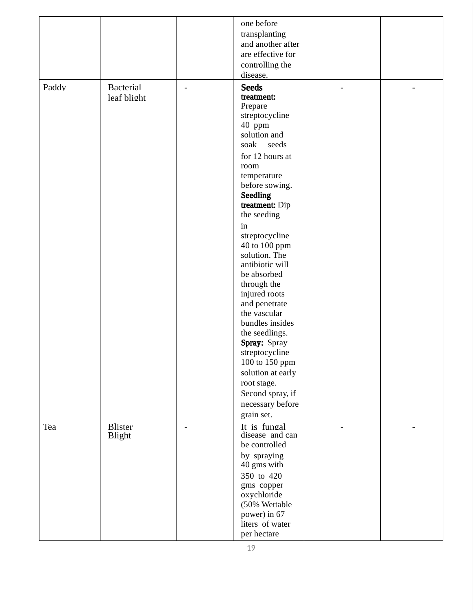|       |                                 | one before<br>transplanting<br>and another after<br>are effective for<br>controlling the<br>disease.                                                                                                                                                                                                                                                                                                                                                                                                                                                               |  |
|-------|---------------------------------|--------------------------------------------------------------------------------------------------------------------------------------------------------------------------------------------------------------------------------------------------------------------------------------------------------------------------------------------------------------------------------------------------------------------------------------------------------------------------------------------------------------------------------------------------------------------|--|
| Paddy | <b>Bacterial</b><br>leaf blight | <b>Seeds</b><br>treatment:<br>Prepare<br>streptocycline<br>40 ppm<br>solution and<br>soak<br>seeds<br>for 12 hours at<br>room<br>temperature<br>before sowing.<br><b>Seedling</b><br>treatment: Dip<br>the seeding<br>in<br>streptocycline<br>40 to 100 ppm<br>solution. The<br>antibiotic will<br>be absorbed<br>through the<br>injured roots<br>and penetrate<br>the vascular<br>bundles insides<br>the seedlings.<br>Spray: Spray<br>streptocycline<br>100 to 150 ppm<br>solution at early<br>root stage.<br>Second spray, if<br>necessary before<br>grain set. |  |
| Tea   | <b>Blister</b><br><b>Blight</b> | It is fungal<br>disease and can<br>be controlled<br>by spraying<br>40 gms with<br>350 to 420<br>gms copper<br>oxychloride<br>(50% Wettable<br>power) in 67<br>liters of water<br>per hectare                                                                                                                                                                                                                                                                                                                                                                       |  |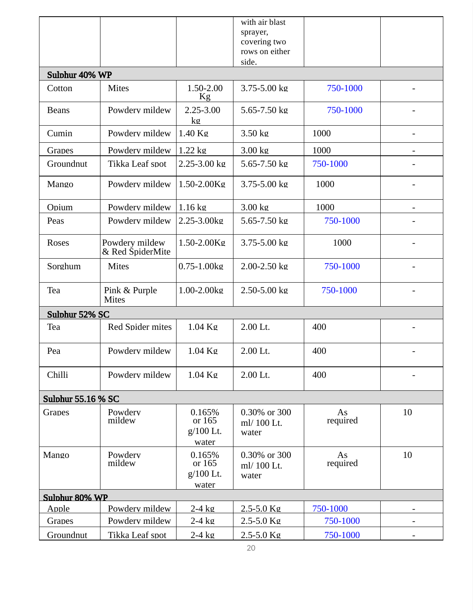|                           |                                    |                                        | with air blast<br>sprayer,<br>covering two<br>rows on either<br>side. |                |    |
|---------------------------|------------------------------------|----------------------------------------|-----------------------------------------------------------------------|----------------|----|
| Sulphur 40% WP            |                                    |                                        |                                                                       |                |    |
| Cotton                    | <b>Mites</b>                       | 1.50-2.00<br>Kg                        | $3.75 - 5.00$ kg                                                      | 750-1000       |    |
| <b>Beans</b>              | Powdery mildew                     | 2.25-3.00<br>kg                        | 5.65-7.50 kg                                                          | 750-1000       |    |
| Cumin                     | Powdery mildew                     | $1.40$ Kg                              | $3.50$ kg                                                             | 1000           |    |
| Grapes                    | Powdery mildew                     | $1.22$ kg                              | 3.00 kg                                                               | 1000           |    |
| Groundnut                 | Tikka Leaf spot                    | $2.25 - 3.00$ kg                       | $5.65 - 7.50$ kg                                                      | 750-1000       |    |
| Mango                     | Powdery mildew                     | 1.50-2.00Kg                            | 3.75-5.00 kg                                                          | 1000           |    |
| Opium                     | Powdery mildew                     | $1.16$ kg                              | 3.00 kg                                                               | 1000           |    |
| Peas                      | Powdery mildew                     | 2.25-3.00kg                            | 5.65-7.50 kg                                                          | 750-1000       |    |
| Roses                     | Powdery mildew<br>& Red SpiderMite | 1.50-2.00Kg                            | $3.75 - 5.00$ kg                                                      | 1000           |    |
| Sorghum                   | <b>Mites</b>                       | $0.75 - 1.00$ kg                       | $2.00 - 2.50$ kg                                                      | 750-1000       |    |
| Tea                       | Pink & Purple<br><b>Mites</b>      | 1.00-2.00kg                            | 2.50-5.00 kg                                                          | 750-1000       |    |
| Sulphur 52% SC            |                                    |                                        |                                                                       |                |    |
| Tea                       | <b>Red Spider mites</b>            | 1.04 Kg                                | 2.00 Lt.                                                              | 400            |    |
| Pea                       | Powdery mildew                     | $1.04$ Kg                              | 2.00 Lt.                                                              | 400            |    |
| Chilli                    | Powdery mildew                     | 1.04 Kg                                | 2.00 Lt.                                                              | 400            |    |
| <b>Sulphur 55.16 % SC</b> |                                    |                                        |                                                                       |                |    |
| Grapes                    | Powdery<br>mildew                  | 0.165%<br>or 165<br>g/100 Lt.<br>water | 0.30% or 300<br>ml/ 100 Lt.<br>water                                  | As<br>required | 10 |
| Mango                     | Powdery<br>mildew                  | 0.165%<br>or 165<br>g/100 Lt.<br>water | 0.30% or 300<br>ml/ 100 Lt.<br>water                                  | As<br>required | 10 |
| Sulphur 80% WP            |                                    |                                        |                                                                       |                |    |
| Apple                     | Powderv mildew                     | $2-4$ $kq$                             | 2.5-5.0 Kg                                                            | 750-1000       |    |
| Grapes                    | Powdery mildew                     | $2-4$ kg                               | 2.5-5.0 Kg                                                            | 750-1000       | -  |
| Groundnut                 | Tikka Leaf spot                    | $2-4$ kg                               | 2.5-5.0 Kg                                                            | 750-1000       |    |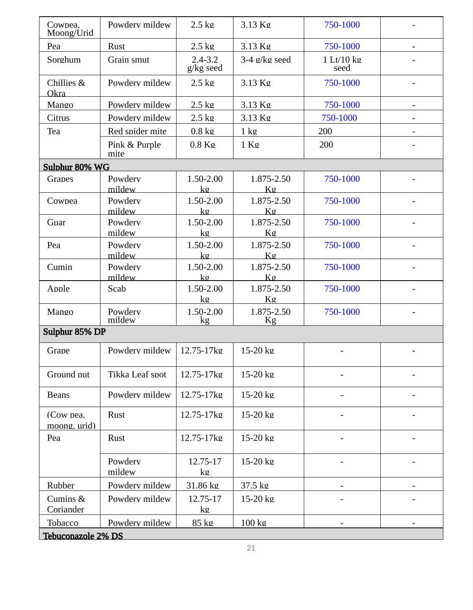| Cowpea.<br>Moong/Urid     | Powdery mildew        | $2.5 \text{ kg}$         | 3.13 Kg          | 750-1000           | $\overline{\phantom{a}}$ |
|---------------------------|-----------------------|--------------------------|------------------|--------------------|--------------------------|
| Pea                       | Rust                  | $2.5 \text{ kg}$         | 3.13 Kg          | 750-1000           | $\overline{\phantom{a}}$ |
| Sorghum                   | Grain smut            | $2.4 - 3.2$<br>g/kg seed | $3-4$ g/kg seed  | 1 Lt/10 kg<br>seed |                          |
| Chillies &<br>Okra        | Powdery mildew        | $2.5$ kg                 | 3.13 Kg          | 750-1000           |                          |
| Mango                     | Powdery mildew        | $2.5$ kg                 | 3.13 Kg          | 750-1000           | $\overline{\phantom{a}}$ |
| Citrus                    | Powdery mildew        | $2.5 \text{ kg}$         | 3.13 Kg          | 750-1000           | -                        |
| Tea                       | Red spider mite       | $0.8 \text{ kg}$         | $1 \text{ kg}$   | 200                |                          |
|                           | Pink & Purple<br>mite | $0.8$ Kg                 | $1$ Kg           | 200                |                          |
| Sulphur 80% WG            |                       |                          |                  |                    |                          |
| Grapes                    | Powdery<br>mildew     | 1.50-2.00<br>kg          | 1.875-2.50<br>Kg | 750-1000           |                          |
| Cowpea                    | Powdery<br>mildew     | 1.50-2.00<br>$k$ g       | 1.875-2.50<br>Kg | 750-1000           | $\overline{\phantom{a}}$ |
| Guar                      | Powderv<br>mildew     | 1.50-2.00<br>kg          | 1.875-2.50<br>Kg | 750-1000           |                          |
| Pea                       | Powderv<br>mildew     | 1.50-2.00<br>kg          | 1.875-2.50<br>Kg | 750-1000           |                          |
| Cumin                     | Powderv<br>mildew     | 1.50-2.00<br>$k$ g       | 1.875-2.50<br>Kg | 750-1000           | $\blacksquare$           |
| Apple                     | Scab                  | 1.50-2.00<br>kg          | 1.875-2.50<br>Kg | 750-1000           |                          |
| Mango                     | Powderv<br>mildew     | 1.50-2.00<br>kg          | 1.875-2.50<br>Kg | 750-1000           |                          |
| Sulphur 85% DP            |                       |                          |                  |                    |                          |
| Grape                     | Powdery mildew        | 12.75-17kg               | 15-20 kg         |                    |                          |
| Ground nut                | Tikka Leaf spot       | 12.75-17kg               | $15-20$ kg       |                    |                          |
| <b>Beans</b>              | Powdery mildew        | 12.75-17kg               | 15-20 kg         |                    |                          |
| (Cow pea.<br>moong, urid) | Rust                  | 12.75-17kg               | 15-20 kg         |                    |                          |
| Pea                       | Rust                  | 12.75-17kg               | 15-20 kg         |                    |                          |
|                           | Powderv<br>mildew     | 12.75-17<br>kg           | 15-20 kg         |                    |                          |
| Rubber                    | Powdery mildew        | 31.86 kg                 | 37.5 kg          |                    |                          |
| Cumins &<br>Coriander     | Powdery mildew        | 12.75-17<br>kg           | 15-20 kg         |                    |                          |
| Tobacco                   | Powdery mildew        | 85 kg                    | $100 \text{ kg}$ |                    |                          |
| Tebuconazole 2% DS        |                       |                          |                  |                    |                          |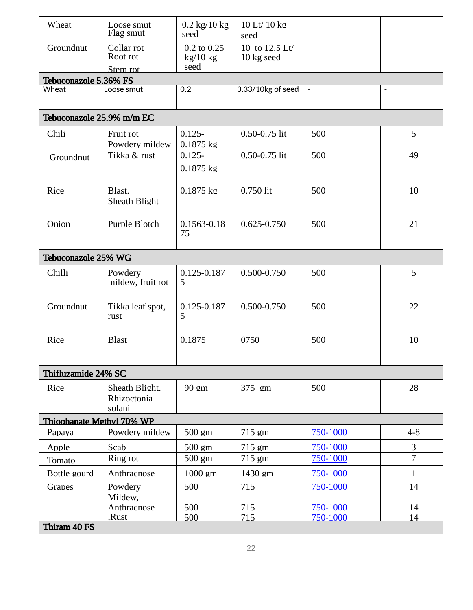| Groundnut<br>10 to 12.5 Lt/<br>Collar rot<br>0.2 to 0.25<br>Root rot<br>$kg/10$ kg<br>10 kg seed<br>seed<br>Stem rot<br>Tebuconazole 5.36% FS<br>0.2<br>3.33/10kg of seed<br>Wheat<br>Loose smut<br>$\overline{\phantom{a}}$<br>$\overline{\phantom{a}}$<br>Tebuconazole 25.9% m/m EC<br>5<br>$0.125 -$<br>0.50-0.75 lit<br>500<br>Chili<br>Fruit rot<br>Powdery mildew<br>$0.1875$ kg<br>0.50-0.75 lit<br>Tikka & rust<br>500<br>$0.125 -$<br>49<br>Groundnut<br>$0.1875$ kg<br>0.750 lit<br>$0.1875 \text{ kg}$<br>500<br>10<br>Rice<br>Blast,<br>Sheath Blight<br>500<br>21<br>Onion<br>Purple Blotch<br>0.1563-0.18<br>0.625-0.750<br>75<br>Tebuconazole 25% WG<br>0.125-0.187<br>5<br>0.500-0.750<br>500<br>Chilli<br>Powdery<br>5<br>mildew, fruit rot<br>Groundnut<br>0.500-0.750<br>500<br>Tikka leaf spot,<br>0.125-0.187<br>22<br>5<br>rust<br><b>Blast</b><br>0.1875<br>0750<br>500<br>10<br>Rice<br>Thifluzamide 24% SC<br>Sheath Blight.<br>90 gm<br>375 gm<br>500<br>28<br>Rice<br>Rhizoctonia<br>solani<br>Thiophanate Methyl 70% WP<br>Powdery mildew<br>715 gm<br>750-1000<br>$4 - 8$<br>Papava<br>$500 \text{ gm}$<br>3<br>Apple<br>Scab<br>750-1000<br>$500 \text{ cm}$<br>715 gm<br>$\overline{7}$<br>750-1000<br>500 gm<br>715 gm<br>Ring rot<br>Tomato<br>1000 gm<br>1430 gm<br>750-1000<br>$\mathbf{1}$<br>Bottle gourd<br>Anthracnose<br>Powdery<br>500<br>715<br>750-1000<br>14<br>Grapes<br>Mildew,<br>Anthracnose<br>500<br>750-1000<br>14<br>715<br>Rust,<br>500<br>715<br>14<br>750-1000<br>Thiram 40 FS | Wheat | Loose smut<br>Flag smut | $0.2 \text{ kg}/10 \text{ kg}$<br>seed | 10 Lt/ 10 kg<br>seed |  |
|---------------------------------------------------------------------------------------------------------------------------------------------------------------------------------------------------------------------------------------------------------------------------------------------------------------------------------------------------------------------------------------------------------------------------------------------------------------------------------------------------------------------------------------------------------------------------------------------------------------------------------------------------------------------------------------------------------------------------------------------------------------------------------------------------------------------------------------------------------------------------------------------------------------------------------------------------------------------------------------------------------------------------------------------------------------------------------------------------------------------------------------------------------------------------------------------------------------------------------------------------------------------------------------------------------------------------------------------------------------------------------------------------------------------------------------------------------------------------------------------------------------------------------------|-------|-------------------------|----------------------------------------|----------------------|--|
|                                                                                                                                                                                                                                                                                                                                                                                                                                                                                                                                                                                                                                                                                                                                                                                                                                                                                                                                                                                                                                                                                                                                                                                                                                                                                                                                                                                                                                                                                                                                       |       |                         |                                        |                      |  |
|                                                                                                                                                                                                                                                                                                                                                                                                                                                                                                                                                                                                                                                                                                                                                                                                                                                                                                                                                                                                                                                                                                                                                                                                                                                                                                                                                                                                                                                                                                                                       |       |                         |                                        |                      |  |
|                                                                                                                                                                                                                                                                                                                                                                                                                                                                                                                                                                                                                                                                                                                                                                                                                                                                                                                                                                                                                                                                                                                                                                                                                                                                                                                                                                                                                                                                                                                                       |       |                         |                                        |                      |  |
|                                                                                                                                                                                                                                                                                                                                                                                                                                                                                                                                                                                                                                                                                                                                                                                                                                                                                                                                                                                                                                                                                                                                                                                                                                                                                                                                                                                                                                                                                                                                       |       |                         |                                        |                      |  |
|                                                                                                                                                                                                                                                                                                                                                                                                                                                                                                                                                                                                                                                                                                                                                                                                                                                                                                                                                                                                                                                                                                                                                                                                                                                                                                                                                                                                                                                                                                                                       |       |                         |                                        |                      |  |
|                                                                                                                                                                                                                                                                                                                                                                                                                                                                                                                                                                                                                                                                                                                                                                                                                                                                                                                                                                                                                                                                                                                                                                                                                                                                                                                                                                                                                                                                                                                                       |       |                         |                                        |                      |  |
|                                                                                                                                                                                                                                                                                                                                                                                                                                                                                                                                                                                                                                                                                                                                                                                                                                                                                                                                                                                                                                                                                                                                                                                                                                                                                                                                                                                                                                                                                                                                       |       |                         |                                        |                      |  |
|                                                                                                                                                                                                                                                                                                                                                                                                                                                                                                                                                                                                                                                                                                                                                                                                                                                                                                                                                                                                                                                                                                                                                                                                                                                                                                                                                                                                                                                                                                                                       |       |                         |                                        |                      |  |
|                                                                                                                                                                                                                                                                                                                                                                                                                                                                                                                                                                                                                                                                                                                                                                                                                                                                                                                                                                                                                                                                                                                                                                                                                                                                                                                                                                                                                                                                                                                                       |       |                         |                                        |                      |  |
|                                                                                                                                                                                                                                                                                                                                                                                                                                                                                                                                                                                                                                                                                                                                                                                                                                                                                                                                                                                                                                                                                                                                                                                                                                                                                                                                                                                                                                                                                                                                       |       |                         |                                        |                      |  |
|                                                                                                                                                                                                                                                                                                                                                                                                                                                                                                                                                                                                                                                                                                                                                                                                                                                                                                                                                                                                                                                                                                                                                                                                                                                                                                                                                                                                                                                                                                                                       |       |                         |                                        |                      |  |
|                                                                                                                                                                                                                                                                                                                                                                                                                                                                                                                                                                                                                                                                                                                                                                                                                                                                                                                                                                                                                                                                                                                                                                                                                                                                                                                                                                                                                                                                                                                                       |       |                         |                                        |                      |  |
|                                                                                                                                                                                                                                                                                                                                                                                                                                                                                                                                                                                                                                                                                                                                                                                                                                                                                                                                                                                                                                                                                                                                                                                                                                                                                                                                                                                                                                                                                                                                       |       |                         |                                        |                      |  |
|                                                                                                                                                                                                                                                                                                                                                                                                                                                                                                                                                                                                                                                                                                                                                                                                                                                                                                                                                                                                                                                                                                                                                                                                                                                                                                                                                                                                                                                                                                                                       |       |                         |                                        |                      |  |
|                                                                                                                                                                                                                                                                                                                                                                                                                                                                                                                                                                                                                                                                                                                                                                                                                                                                                                                                                                                                                                                                                                                                                                                                                                                                                                                                                                                                                                                                                                                                       |       |                         |                                        |                      |  |
|                                                                                                                                                                                                                                                                                                                                                                                                                                                                                                                                                                                                                                                                                                                                                                                                                                                                                                                                                                                                                                                                                                                                                                                                                                                                                                                                                                                                                                                                                                                                       |       |                         |                                        |                      |  |
|                                                                                                                                                                                                                                                                                                                                                                                                                                                                                                                                                                                                                                                                                                                                                                                                                                                                                                                                                                                                                                                                                                                                                                                                                                                                                                                                                                                                                                                                                                                                       |       |                         |                                        |                      |  |
|                                                                                                                                                                                                                                                                                                                                                                                                                                                                                                                                                                                                                                                                                                                                                                                                                                                                                                                                                                                                                                                                                                                                                                                                                                                                                                                                                                                                                                                                                                                                       |       |                         |                                        |                      |  |
|                                                                                                                                                                                                                                                                                                                                                                                                                                                                                                                                                                                                                                                                                                                                                                                                                                                                                                                                                                                                                                                                                                                                                                                                                                                                                                                                                                                                                                                                                                                                       |       |                         |                                        |                      |  |
|                                                                                                                                                                                                                                                                                                                                                                                                                                                                                                                                                                                                                                                                                                                                                                                                                                                                                                                                                                                                                                                                                                                                                                                                                                                                                                                                                                                                                                                                                                                                       |       |                         |                                        |                      |  |
|                                                                                                                                                                                                                                                                                                                                                                                                                                                                                                                                                                                                                                                                                                                                                                                                                                                                                                                                                                                                                                                                                                                                                                                                                                                                                                                                                                                                                                                                                                                                       |       |                         |                                        |                      |  |
|                                                                                                                                                                                                                                                                                                                                                                                                                                                                                                                                                                                                                                                                                                                                                                                                                                                                                                                                                                                                                                                                                                                                                                                                                                                                                                                                                                                                                                                                                                                                       |       |                         |                                        |                      |  |
|                                                                                                                                                                                                                                                                                                                                                                                                                                                                                                                                                                                                                                                                                                                                                                                                                                                                                                                                                                                                                                                                                                                                                                                                                                                                                                                                                                                                                                                                                                                                       |       |                         |                                        |                      |  |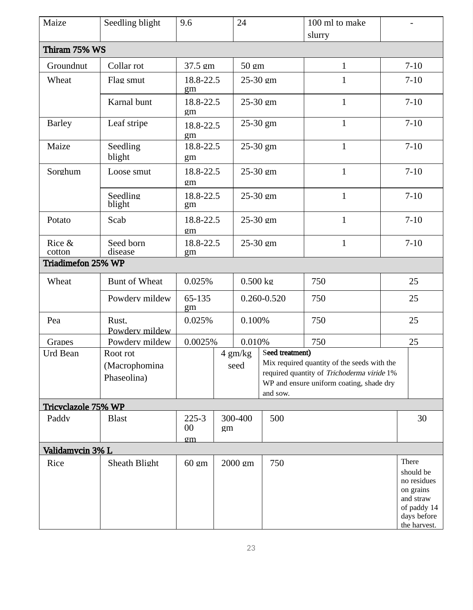| Maize               | Seedling blight              | 9.6                   |    | 24          |                 | 100 ml to make<br>slurry                                                                                                              |          |                                                                                                           |
|---------------------|------------------------------|-----------------------|----|-------------|-----------------|---------------------------------------------------------------------------------------------------------------------------------------|----------|-----------------------------------------------------------------------------------------------------------|
| Thiram 75% WS       |                              |                       |    |             |                 |                                                                                                                                       |          |                                                                                                           |
| Groundnut           | Collar rot                   | 37.5 gm               |    | 50 gm       |                 | $\mathbf{1}$                                                                                                                          |          | $7 - 10$                                                                                                  |
| Wheat               | Flag smut                    | 18.8-22.5<br>gm       |    | 25-30 gm    |                 | $\mathbf{1}$                                                                                                                          |          | $7 - 10$                                                                                                  |
|                     | Karnal bunt                  | 18.8-22.5<br>gm       |    | 25-30 gm    |                 | $\mathbf{1}$                                                                                                                          |          | $7 - 10$                                                                                                  |
| <b>Barley</b>       | Leaf stripe                  | 18.8-22.5<br>gm       |    | 25-30 gm    |                 | $\mathbf{1}$                                                                                                                          |          | $7 - 10$                                                                                                  |
| Maize               | Seedling<br>blight           | 18.8-22.5<br>gm       |    | 25-30 gm    |                 | $\mathbf{1}$                                                                                                                          |          | $7 - 10$                                                                                                  |
| Sorghum             | Loose smut                   | 18.8-22.5<br>gm       |    | 25-30 gm    |                 | $\mathbf{1}$                                                                                                                          |          | $7 - 10$                                                                                                  |
|                     | Seedling<br>blight           | 18.8-22.5<br>gm       |    | 25-30 gm    |                 | $\mathbf{1}$                                                                                                                          |          | $7 - 10$                                                                                                  |
| Potato              | Scab                         | 18.8-22.5<br>gm       |    | 25-30 gm    |                 | $\mathbf{1}$                                                                                                                          | $7 - 10$ |                                                                                                           |
| Rice &<br>cotton    | Seed born<br>disease         | 18.8-22.5<br>gm       |    | 25-30 gm    |                 | $\mathbf{1}$                                                                                                                          |          | $7 - 10$                                                                                                  |
| Triadimefon 25% WP  |                              |                       |    |             |                 |                                                                                                                                       |          |                                                                                                           |
| Wheat               | <b>Bunt of Wheat</b>         | 0.025%                |    | $0.500$ kg  |                 | 750                                                                                                                                   | 25       |                                                                                                           |
|                     | Powderv mildew               | 65-135<br>gm          |    | 0.260-0.520 |                 | 750                                                                                                                                   |          | 25                                                                                                        |
| Pea                 | Rust.<br>Powdery mildew      | 0.025%                |    | 0.100%      |                 | 750                                                                                                                                   |          | 25                                                                                                        |
| Grapes              | Powdery mildew               | 0.0025%               |    | 0.010%      |                 | 750                                                                                                                                   |          | 25                                                                                                        |
| <b>Urd Bean</b>     | Root rot                     |                       |    | 4 gm/kg     | Seed treatment) |                                                                                                                                       |          |                                                                                                           |
|                     | (Macrophomina<br>Phaseolina) |                       |    | seed        | and sow.        | Mix required quantity of the seeds with the<br>required quantity of Trichoderma viride 1%<br>WP and ensure uniform coating, shade dry |          |                                                                                                           |
| Tricyclazole 75% WP |                              |                       |    |             |                 |                                                                                                                                       |          |                                                                                                           |
| Paddv               | <b>Blast</b>                 | $225 - 3$<br>00<br>gm | gm | 300-400     | 500             |                                                                                                                                       |          | 30                                                                                                        |
| Validamvcin 3% L    |                              |                       |    |             |                 |                                                                                                                                       |          |                                                                                                           |
| Rice                | Sheath Blight                | 60 gm                 |    | 2000 gm     | 750             |                                                                                                                                       |          | There<br>should be<br>no residues<br>on grains<br>and straw<br>of paddy 14<br>days before<br>the harvest. |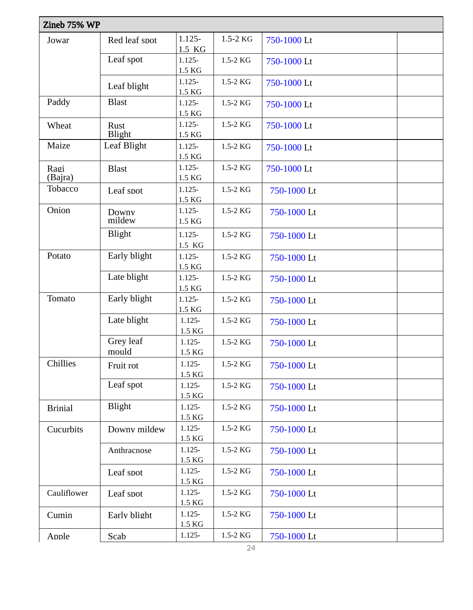| Zineb 75% WP    |                       |                                 |          |             |
|-----------------|-----------------------|---------------------------------|----------|-------------|
| Jowar           | Red leaf spot         | $1.125 -$<br>1.5 KG             | 1.5-2 KG | 750-1000 Lt |
|                 | Leaf spot             | $1.125 -$<br>1.5 KG             | 1.5-2 KG | 750-1000 Lt |
|                 | Leaf blight           | $1.125 -$<br>$1.5\ \mathrm{KG}$ | 1.5-2 KG | 750-1000 Lt |
| Paddy           | <b>Blast</b>          | $1.125 -$<br>1.5 KG             | 1.5-2 KG | 750-1000 Lt |
| Wheat           | Rust<br><b>Blight</b> | $1.125 -$<br>1.5 KG             | 1.5-2 KG | 750-1000 Lt |
| Maize           | Leaf Blight           | $1.125 -$<br>$1.5\ \mathrm{KG}$ | 1.5-2 KG | 750-1000 Lt |
| Ragi<br>(Bajra) | <b>Blast</b>          | $1.125 -$<br>1.5 KG             | 1.5-2 KG | 750-1000 Lt |
| Tobacco         | Leaf spot             | $1.125 -$<br>1.5 KG             | 1.5-2 KG | 750-1000 Lt |
| Onion           | Downy<br>mildew       | $1.125 -$<br>1.5 KG             | 1.5-2 KG | 750-1000 Lt |
|                 | <b>Blight</b>         | $1.125 -$<br>1.5 KG             | 1.5-2 KG | 750-1000 Lt |
| Potato          | Early blight          | $1.125 -$<br>1.5 KG             | 1.5-2 KG | 750-1000 Lt |
|                 | Late blight           | $1.125 -$<br>1.5 KG             | 1.5-2 KG | 750-1000 Lt |
| Tomato          | Early blight          | $1.125 -$<br>$1.5\ \mathrm{KG}$ | 1.5-2 KG | 750-1000 Lt |
|                 | Late blight           | $1.125 -$<br>$1.5\ \mathrm{KG}$ | 1.5-2 KG | 750-1000 Lt |
|                 | Grey leaf<br>mould    | $1.125 -$<br>1.5 KG             | 1.5-2 KG | 750-1000 Lt |
| Chillies        | Fruit rot             | $1.125 -$<br>1.5 KG             | 1.5-2 KG | 750-1000 Lt |
|                 | Leaf spot             | $1.125 -$<br>1.5 KG             | 1.5-2 KG | 750-1000 Lt |
| <b>Brinial</b>  | Blight                | $1.125 -$<br>1.5 KG             | 1.5-2 KG | 750-1000 Lt |
| Cucurbits       | Downy mildew          | $1.125 -$<br>$1.5\ {\rm KG}$    | 1.5-2 KG | 750-1000 Lt |
|                 | Anthracnose           | $1.125 -$<br>1.5 KG             | 1.5-2 KG | 750-1000 Lt |
|                 | Leaf spot             | $1.125 -$<br>1.5 KG             | 1.5-2 KG | 750-1000 Lt |
| Cauliflower     | Leaf spot             | $1.125 -$<br>1.5 KG             | 1.5-2 KG | 750-1000 Lt |
| Cumin           | Early blight          | $1.125 -$<br>1.5 KG             | 1.5-2 KG | 750-1000 Lt |
| Apple           | Scab                  | $1.125 -$                       | 1.5-2 KG | 750-1000 Lt |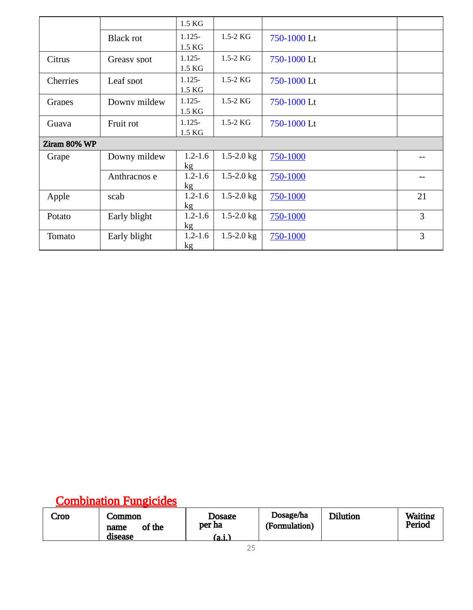|                 |                  | 1.5 KG              |                |             |    |
|-----------------|------------------|---------------------|----------------|-------------|----|
|                 | <b>Black rot</b> | $1.125 -$<br>1.5 KG | $1.5-2$ KG     | 750-1000 Lt |    |
| Citrus          | Greasy spot      | $1.125 -$<br>1.5 KG | $1.5-2$ KG     | 750-1000 Lt |    |
| <b>Cherries</b> | Leaf spot        | $1.125 -$<br>1.5 KG | 1.5-2 KG       | 750-1000 Lt |    |
| Grapes          | Downy mildew     | $1.125 -$<br>1.5 KG | 1.5-2 KG       | 750-1000 Lt |    |
| Guava           | Fruit rot        | $1.125 -$<br>1.5 KG | $1.5-2$ KG     | 750-1000 Lt |    |
| Ziram 80% WP    |                  |                     |                |             |    |
| Grape           | Downy mildew     | $1.2 - 1.6$<br>kg   | $1.5 - 2.0$ kg | 750-1000    |    |
|                 | Anthracnos e     | $1.2 - 1.6$<br>kg   | $1.5 - 2.0$ kg | 750-1000    |    |
| Apple           | scab             | $1.2 - 1.6$<br>kg   | 1.5-2.0 $kg$   | 750-1000    | 21 |
| Potato          | Early blight     | $1.2 - 1.6$<br>kg   | $1.5 - 2.0$ kg | 750-1000    | 3  |
| Tomato          | Early blight     | $1.2 - 1.6$<br>kg   | 1.5-2.0 $kg$   | 750-1000    | 3  |

#### Combination Fungicides

| _rod | _ommon<br>of the<br>name | <b>Dosage</b><br>per ha | Dosage/ha<br>(Formulation) | <b>Dilution</b> | <b>Waiting</b><br>Period |
|------|--------------------------|-------------------------|----------------------------|-----------------|--------------------------|
|      | disease                  | (a.i.)                  |                            |                 |                          |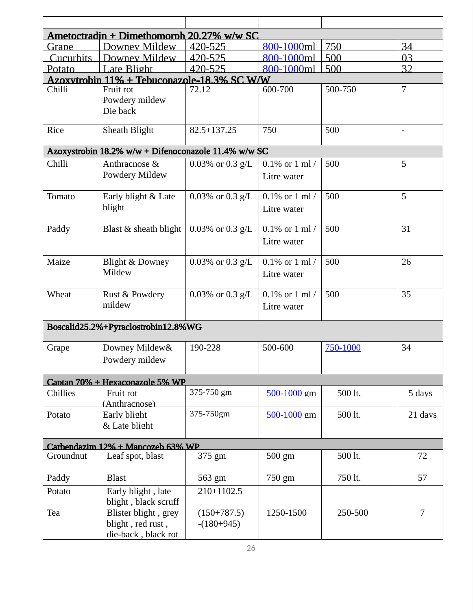| Ametoctradin + Dimethomorph 20.27% w/w SC |                                                                  |                               |                                    |          |                |  |  |
|-------------------------------------------|------------------------------------------------------------------|-------------------------------|------------------------------------|----------|----------------|--|--|
| Grane                                     | Downey Mildew                                                    | 420-525                       | 800-1000ml                         | 750      | 34             |  |  |
| <b>Cucurbits</b>                          | Downey Mildew                                                    | 420-525                       | 800-1000ml                         | 500      | 03             |  |  |
| Potato                                    | Late Blight                                                      | 420-525                       | 800-1000ml                         | 500      | 32             |  |  |
|                                           | Azoxytrobin 11% + Tebuconazole-18.3% SC W/W                      |                               |                                    |          |                |  |  |
| Chilli                                    | Fruit rot<br>Powdery mildew<br>Die back                          | 72.12                         | 600-700                            | 500-750  | $\overline{7}$ |  |  |
| Rice                                      | Sheath Blight                                                    | 82.5+137.25                   | 750                                | 500      | $\blacksquare$ |  |  |
|                                           | Azoxystrobin 18.2% w/w + Difenoconazole 11.4% w/w SC             |                               |                                    |          |                |  |  |
| Chilli                                    | Anthracnose &<br>Powdery Mildew                                  | $0.03\%$ or $0.3$ g/L         | $0.1\%$ or $1$ ml /<br>Litre water | 500      | 5              |  |  |
| Tomato                                    | Early blight & Late<br>blight                                    | 0.03% or 0.3 $g/L$            | $0.1\%$ or 1 ml /<br>Litre water   | 500      | 5              |  |  |
| Paddy                                     | Blast & sheath blight                                            | 0.03% or 0.3 $g/L$            | $0.1\%$ or $1$ ml /<br>Litre water | 500      | 31             |  |  |
| Maize                                     | <b>Blight &amp; Downey</b><br>Mildew                             | 0.03% or 0.3 $g/L$            | $0.1\%$ or 1 ml /<br>Litre water   | 500      | 26             |  |  |
| Wheat                                     | Rust & Powdery<br>mildew                                         | $0.03\%$ or $0.3$ g/L         | $0.1\%$ or $1$ ml /<br>Litre water | 500      | 35             |  |  |
|                                           | Boscalid25.2%+Pyraclostrobin12.8%WG                              |                               |                                    |          |                |  |  |
| Grape                                     | Downey Mildew&<br>Powdery mildew                                 | 190-228                       | 500-600                            | 750-1000 | 34             |  |  |
|                                           | Captan 70% + Hexaconazole 5% WP                                  |                               |                                    |          |                |  |  |
| Chillies                                  | Fruit rot<br>(Anthracnose)                                       | 375-750 gm                    | 500-1000 gm                        | 500 lt.  | 5 davs         |  |  |
| Potato                                    | Early blight<br>& Late blight                                    | 375-750gm                     | 500-1000 gm                        | 500 lt.  | 21 days        |  |  |
|                                           | Carbendazim 12% + Mancozeb 63% WP                                |                               |                                    |          |                |  |  |
| Groundnut                                 | Leaf spot, blast                                                 | 375 gm                        | 500 gm                             | 500 lt.  | 72             |  |  |
| Paddy                                     | <b>Blast</b>                                                     | 563 gm                        | 750 gm                             | 750 lt.  | 57             |  |  |
| Potato                                    | Early blight, late<br>blight, black scruff                       | 210+1102.5                    |                                    |          |                |  |  |
| Tea                                       | Blister blight, grey<br>blight, red rust,<br>die-back, black rot | $(150+787.5)$<br>$-(180+945)$ | 1250-1500                          | 250-500  | 7              |  |  |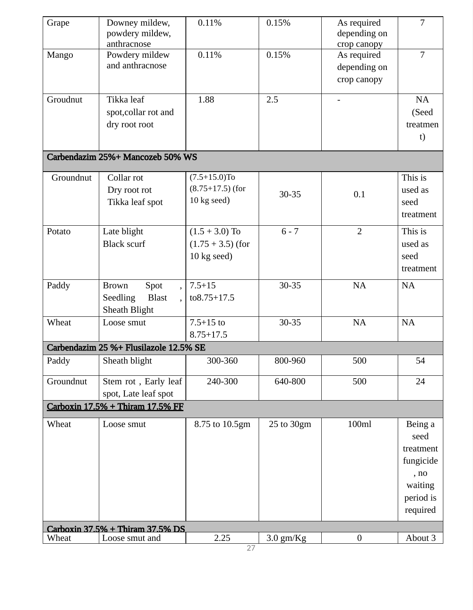| Grape     | Downey mildew,<br>powdery mildew,      | 0.11%               | 0.15%       | As required<br>depending on | 7              |
|-----------|----------------------------------------|---------------------|-------------|-----------------------------|----------------|
|           | anthracnose                            |                     |             | crop canopy                 |                |
| Mango     | Powdery mildew<br>and anthracnose      | 0.11%               | 0.15%       | As required                 | $\overline{7}$ |
|           |                                        |                     |             | depending on                |                |
|           |                                        |                     |             | crop canopy                 |                |
| Groudnut  | Tikka leaf                             | 1.88                | 2.5         |                             | <b>NA</b>      |
|           | spot, collar rot and                   |                     |             |                             | (Seed          |
|           | dry root root                          |                     |             |                             | treatmen       |
|           |                                        |                     |             |                             | t)             |
|           | Carbendazim 25%+ Mancozeb 50% WS       |                     |             |                             |                |
| Groundnut | Collar rot                             | $(7.5+15.0)$ To     |             |                             | This is        |
|           | Dry root rot                           | $(8.75+17.5)$ (for  |             |                             | used as        |
|           | Tikka leaf spot                        | $10$ kg seed)       | 30-35       | 0.1                         | seed           |
|           |                                        |                     |             |                             | treatment      |
| Potato    | Late blight                            | $(1.5 + 3.0)$ To    | $6 - 7$     | $\overline{2}$              | This is        |
|           | <b>Black scurf</b>                     | $(1.75 + 3.5)$ (for |             |                             | used as        |
|           |                                        | 10 kg seed)         |             |                             | seed           |
|           |                                        |                     |             |                             | treatment      |
| Paddy     | Spot<br><b>Brown</b>                   | $7.5 + 15$          | 30-35       | <b>NA</b>                   | <b>NA</b>      |
|           | <b>Blast</b><br><b>Seedling</b>        | to8.75+17.5         |             |                             |                |
|           | Sheath Blight                          |                     |             |                             |                |
| Wheat     | Loose smut                             | $7.5 + 15$ to       | 30-35       | <b>NA</b>                   | NA             |
|           |                                        | $8.75 + 17.5$       |             |                             |                |
|           | Carbendazim 25 %+ Flusilazole 12.5% SE |                     |             |                             |                |
| Paddy     | Sheath blight                          | 300-360             | 800-960     | 500                         | 54             |
| Groundnut | Stem rot, Early leaf                   | 240-300             | 640-800     | 500                         | 24             |
|           | spot, Late leaf spot                   |                     |             |                             |                |
|           | Carboxin 17.5% + Thiram 17.5% FF       |                     |             |                             |                |
| Wheat     | Loose smut                             | 8.75 to 10.5gm      | 25 to 30gm  | 100ml                       | Being a        |
|           |                                        |                     |             |                             | seed           |
|           |                                        |                     |             |                             | treatment      |
|           |                                        |                     |             |                             | fungicide      |
|           |                                        |                     |             |                             | , no           |
|           |                                        |                     |             |                             | waiting        |
|           |                                        |                     |             |                             | period is      |
|           |                                        |                     |             |                             | required       |
|           | Carboxin 37.5% + Thiram 37.5% DS       |                     |             |                             |                |
| Wheat     | Loose smut and                         | 2.25<br>27          | $3.0$ gm/Kg | $\boldsymbol{0}$            | About 3        |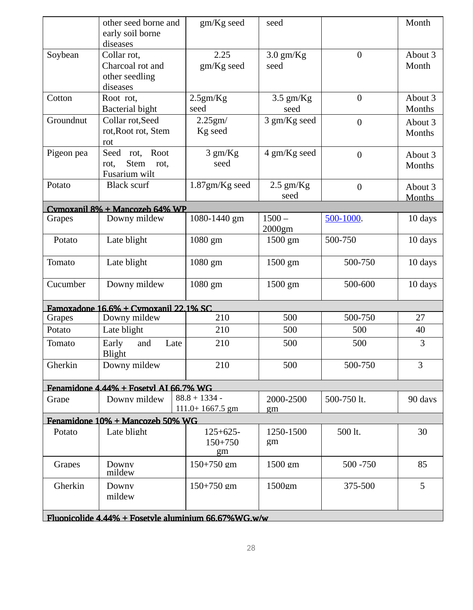|                                                      | other seed borne and                         | gm/Kg seed                    | seed                |                | Month            |  |
|------------------------------------------------------|----------------------------------------------|-------------------------------|---------------------|----------------|------------------|--|
|                                                      | early soil borne                             |                               |                     |                |                  |  |
|                                                      | diseases                                     |                               |                     |                |                  |  |
| Soybean                                              | Collar rot,<br>Charcoal rot and              | 2.25<br>gm/Kg seed            | $3.0$ gm/Kg<br>seed | $\mathbf{0}$   | About 3<br>Month |  |
|                                                      | other seedling                               |                               |                     |                |                  |  |
|                                                      | diseases                                     |                               |                     |                |                  |  |
| Cotton                                               | Root rot,                                    | 2.5gm/Kg                      | $3.5$ gm/Kg         | $\mathbf{0}$   | About 3          |  |
|                                                      | <b>Bacterial bight</b>                       | seed                          | seed                |                | Months           |  |
| Groundnut                                            | Collar rot, Seed                             | 2.25gm/                       | 3 gm/Kg seed        | $\overline{0}$ | About 3          |  |
|                                                      | rot, Root rot, Stem                          | Kg seed                       |                     |                | Months           |  |
|                                                      | rot                                          |                               |                     |                |                  |  |
| Pigeon pea                                           | Seed rot, Root                               | 3 gm/Kg                       | 4 gm/Kg seed        | $\overline{0}$ | About 3          |  |
|                                                      | <b>Stem</b><br>rot,<br>rot,<br>Fusarium wilt | seed                          |                     |                | Months           |  |
| Potato                                               | <b>Black scurf</b>                           | 1.87gm/Kg seed                | $2.5$ gm/Kg         | $\overline{0}$ | About 3          |  |
|                                                      |                                              |                               | seed                |                | <b>Months</b>    |  |
|                                                      | Cymoxanil 8% + Mancozeb 64% WP               |                               |                     |                |                  |  |
| Grapes                                               | Downy mildew                                 | 1080-1440 gm                  | $1500 -$            | 500-1000.      | 10 days          |  |
|                                                      |                                              |                               | 2000gm              |                |                  |  |
| Potato                                               | Late blight                                  | 1080 gm                       | 1500 gm             | 500-750        | 10 days          |  |
| Tomato                                               | Late blight                                  | 1080 gm                       | 1500 gm             | 500-750        | 10 days          |  |
| Cucumber                                             | Downy mildew                                 | 1080 gm                       | 1500 gm             | 500-600        | 10 days          |  |
|                                                      | Famoxadone 16.6% + Cymoxanil 22.1% SC        |                               |                     |                |                  |  |
| Grapes                                               | Downy mildew                                 | 210                           | 500                 | 500-750        | 27               |  |
| Potato                                               | Late blight                                  | 210                           | 500                 | 500            | 40               |  |
| Tomato                                               | Early<br>Late<br>and<br><b>Blight</b>        | 210                           | 500                 | 500            | 3                |  |
| Gherkin                                              | Downy mildew                                 | 210                           | 500                 | 500-750        | 3                |  |
|                                                      | Fenamidone 4.44% + Fosetyl AI 66.7% WG       |                               |                     |                |                  |  |
| Grape                                                | Downy mildew                                 | $88.8 + 1334 -$               | 2000-2500           | 500-750 lt.    | 90 days          |  |
|                                                      |                                              | $111.0+1667.5$ gm             | gm                  |                |                  |  |
|                                                      | Fenamidone 10% + Mancozeb 50% WG             |                               |                     |                |                  |  |
| Potato                                               | Late blight                                  | $125+625-$<br>$150+750$<br>gm | 1250-1500<br>gm     | 500 lt.        | 30               |  |
| Grapes                                               | Downy<br>mildew                              | $150+750$ gm                  | 1500 gm             | 500 - 750      | 85               |  |
| Gherkin                                              | Downy<br>mildew                              | 150+750 gm                    | 1500gm              | 375-500        | 5                |  |
| Fluopicolide 4.44% + Fosetyle aluminium 66.67%WG.w/w |                                              |                               |                     |                |                  |  |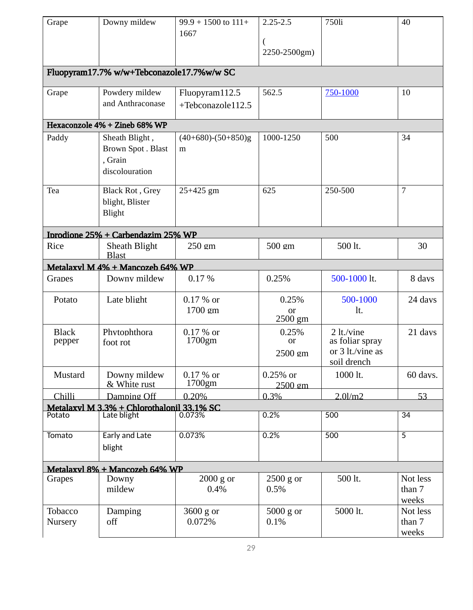| Grape                  | Downy mildew                                                     | $99.9 + 1500$ to $111 +$<br>1667    | $2.25 - 2.5$<br>2250-2500gm) | 750li                                                            | 40                          |
|------------------------|------------------------------------------------------------------|-------------------------------------|------------------------------|------------------------------------------------------------------|-----------------------------|
|                        | Fluopyram17.7% w/w+Tebconazole17.7%w/w SC                        |                                     |                              |                                                                  |                             |
| Grape                  | Powdery mildew<br>and Anthraconase                               | Fluopyram112.5<br>+Tebconazole112.5 | 562.5                        | 750-1000                                                         | 10                          |
|                        | Hexaconzole 4% + Zineb 68% WP                                    |                                     |                              |                                                                  |                             |
| Paddy                  | Sheath Blight,<br>Brown Spot. Blast<br>, Grain<br>discolouration | $(40+680)-(50+850)g$<br>m           | 1000-1250                    | 500                                                              | 34                          |
| Tea                    | Black Rot, Grey<br>blight, Blister<br>Blight                     | 25+425 gm                           | 625                          | 250-500                                                          | $\overline{7}$              |
|                        | Iprodione 25% + Carbendazim 25% WP                               |                                     |                              |                                                                  |                             |
| Rice                   | Sheath Blight<br><b>Blast</b>                                    | 250 gm                              | 500 gm                       | 500 lt.                                                          | 30                          |
|                        | Metalaxyl M 4% + Mancozeb 64% WP                                 |                                     |                              |                                                                  |                             |
| Grapes                 | Downy mildew                                                     | 0.17%                               | 0.25%                        | 500-1000 lt.                                                     | 8 days                      |
| Potato                 | Late blight                                                      | $0.17 \%$ or<br>1700 gm             | 0.25%<br>or<br>2500 gm       | 500-1000<br>lt.                                                  | 24 days                     |
| <b>Black</b><br>pepper | Phytophthora<br>foot rot                                         | $0.17 \%$ or<br>$1700$ gm           | 0.25%<br>or<br>2500 gm       | 2 lt./vine<br>as foliar spray<br>or 3 lt./vine as<br>soil drench | 21 days                     |
| Mustard                | Downy mildew<br>& White rust                                     | $0.17 \%$ or<br>1700gm              | $0.25%$ or<br>2500 gm        | 1000 lt.                                                         | 60 days.                    |
| Chilli                 | Damping Off                                                      | 0.20%                               | 0.3%                         | $2.0$ l/m $2$                                                    | 53                          |
|                        | Metalaxyl M 3.3% + Chlorothalonil 33.1% SC<br>Late blight        | 0.073%                              | 0.2%                         | 500                                                              | 34                          |
| Potato                 |                                                                  |                                     |                              |                                                                  |                             |
| Tomato                 | <b>Early and Late</b><br>blight                                  | 0.073%                              | 0.2%                         | 500                                                              | $\overline{5}$              |
|                        | Metalaxyl 8% + Mancozeb 64% WP                                   |                                     |                              |                                                                  |                             |
| Grapes                 | Downy<br>mildew                                                  | $2000$ g or<br>0.4%                 | $2500$ g or<br>0.5%          | 500 lt.                                                          | Not less<br>than 7<br>weeks |
| Tobacco<br>Nursery     | Damping<br>off                                                   | 3600 g or<br>0.072%                 | $5000$ g or<br>0.1%          | 5000 lt.                                                         | Not less<br>than 7<br>weeks |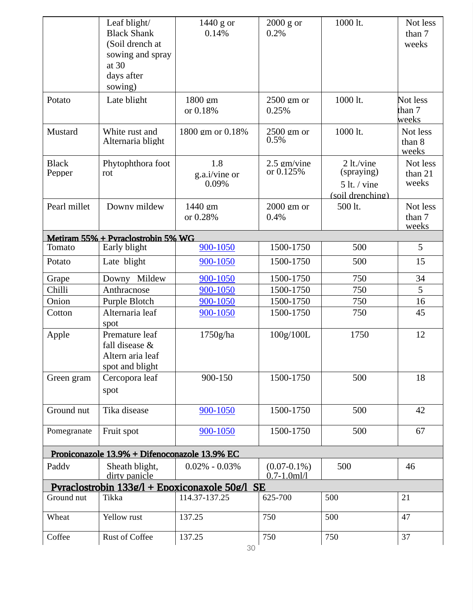|                        | Leaf blight/<br><b>Black Shank</b><br>(Soil drench at<br>sowing and spray<br>at 30<br>days after<br>sowing) | $1440$ g or<br>0.14%                           | $2000$ g or<br>0.2%                  | 1000 lt.                                                       | Not less<br>than 7<br>weeks  |
|------------------------|-------------------------------------------------------------------------------------------------------------|------------------------------------------------|--------------------------------------|----------------------------------------------------------------|------------------------------|
| Potato                 | Late blight                                                                                                 | 1800 gm<br>or 0.18%                            | 2500 gm or<br>0.25%                  | 1000 lt.                                                       | Not less<br>than 7<br>weeks  |
| Mustard                | White rust and<br>Alternaria blight                                                                         | 1800 gm or 0.18%                               | 2500 gm or<br>0.5%                   | 1000 lt.                                                       | Not less<br>than 8<br>weeks  |
| <b>Black</b><br>Pepper | Phytophthora foot<br>rot                                                                                    | 1.8<br>g.a.i/vine or<br>0.09%                  | 2.5 gm/vine<br>or 0.125%             | 2 lt./vine<br>(spraying)<br>$5$ lt. / vine<br>(soil drenching) | Not less<br>than 21<br>weeks |
| Pearl millet           | Downy mildew                                                                                                | 1440 gm<br>or 0.28%                            | 2000 gm or<br>0.4%                   | 500 lt.                                                        | Not less<br>than 7<br>weeks  |
|                        | Metiram 55% + Pyraclostrobin 5% WG                                                                          |                                                |                                      |                                                                |                              |
| Tomato                 | Early blight                                                                                                | 900-1050                                       | 1500-1750                            | 500                                                            | 5                            |
| Potato                 | Late blight                                                                                                 | 900-1050                                       | 1500-1750                            | 500                                                            | 15                           |
| Grape                  | Downy Mildew                                                                                                | 900-1050                                       | 1500-1750                            | 750                                                            | 34                           |
| Chilli                 | Anthracnose                                                                                                 | 900-1050                                       | 1500-1750                            | 750                                                            | 5                            |
| Onion                  | Purple Blotch                                                                                               | 900-1050                                       | 1500-1750                            | 750                                                            | 16                           |
| Cotton                 | Alternaria leaf<br>spot                                                                                     | 900-1050                                       | 1500-1750                            | 750                                                            | 45                           |
| Apple                  | Premature leaf<br>fall disease &<br>Altern aria leaf<br>spot and blight                                     | 1750g/ha                                       | 100g/100L                            | 1750                                                           | 12                           |
| Green gram             | Cercopora leaf<br>spot                                                                                      | 900-150                                        | 1500-1750                            | 500                                                            | 18                           |
| Ground nut             | Tika disease                                                                                                | 900-1050                                       | 1500-1750                            | 500                                                            | 42                           |
| Pomegranate            | Fruit spot                                                                                                  | 900-1050                                       | 1500-1750                            | 500                                                            | 67                           |
|                        | Propiconazole 13.9% + Difenoconazole 13.9% EC                                                               |                                                |                                      |                                                                |                              |
| Paddy                  | Sheath blight,<br>dirty panicle                                                                             | $0.02\% - 0.03\%$                              | $(0.07 - 0.1\%)$<br>$0.7 - 1.0$ ml/l | 500                                                            | 46                           |
|                        |                                                                                                             | Pvraclostrobin 133g/l + Epoxiconaxole 50g/l SE |                                      |                                                                |                              |
| Ground nut             | Tikka                                                                                                       | 114.37-137.25                                  | 625-700                              | 500                                                            | 21                           |
| Wheat                  | Yellow rust                                                                                                 | 137.25                                         | 750                                  | 500                                                            | 47                           |
| Coffee                 | <b>Rust of Coffee</b>                                                                                       | 137.25                                         | 750                                  | 750                                                            | 37                           |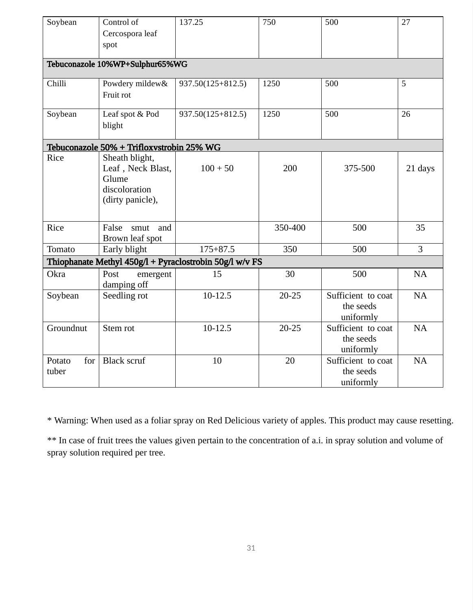| Soybean                | Control of<br>Cercospora leaf<br>spot                                             | 137.25                                                  | 750       | 500                                          | 27             |
|------------------------|-----------------------------------------------------------------------------------|---------------------------------------------------------|-----------|----------------------------------------------|----------------|
|                        | Tebuconazole 10%WP+Sulphur65%WG                                                   |                                                         |           |                                              |                |
| Chilli                 | Powdery mildew&<br>Fruit rot                                                      | 937.50(125+812.5)                                       | 1250      | 500                                          | 5              |
| Soybean                | Leaf spot & Pod<br>blight                                                         | 937.50(125+812.5)                                       | 1250      | 500                                          | 26             |
|                        | Tebuconazole 50% + Trifloxystrobin 25% WG                                         |                                                         |           |                                              |                |
| Rice                   | Sheath blight,<br>Leaf, Neck Blast,<br>Glume<br>discoloration<br>(dirty panicle), | $100 + 50$                                              | 200       | 375-500                                      | 21 days        |
| Rice                   | False<br>and<br>smut<br>Brown leaf spot                                           |                                                         | 350-400   | 500                                          | 35             |
| Tomato                 | Early blight                                                                      | $175 + 87.5$                                            | 350       | 500                                          | $\overline{3}$ |
|                        |                                                                                   | Thiophanate Methyl 450g/l + Pyraclostrobin 50g/l w/v FS |           |                                              |                |
| Okra                   | Post<br>emergent<br>damping off                                                   | 15                                                      | 30        | 500                                          | <b>NA</b>      |
| Soybean                | Seedling rot                                                                      | $10-12.5$                                               | $20 - 25$ | Sufficient to coat<br>the seeds<br>uniformly | <b>NA</b>      |
| Groundnut              | Stem rot                                                                          | $10 - 12.5$                                             | $20 - 25$ | Sufficient to coat<br>the seeds<br>uniformly | <b>NA</b>      |
| for<br>Potato<br>tuber | <b>Black scruf</b>                                                                | 10                                                      | 20        | Sufficient to coat<br>the seeds<br>uniformly | <b>NA</b>      |

\* Warning: When used as a foliar spray on Red Delicious variety of apples. This product may cause resetting.

\*\* In case of fruit trees the values given pertain to the concentration of a.i. in spray solution and volume of spray solution required per tree.